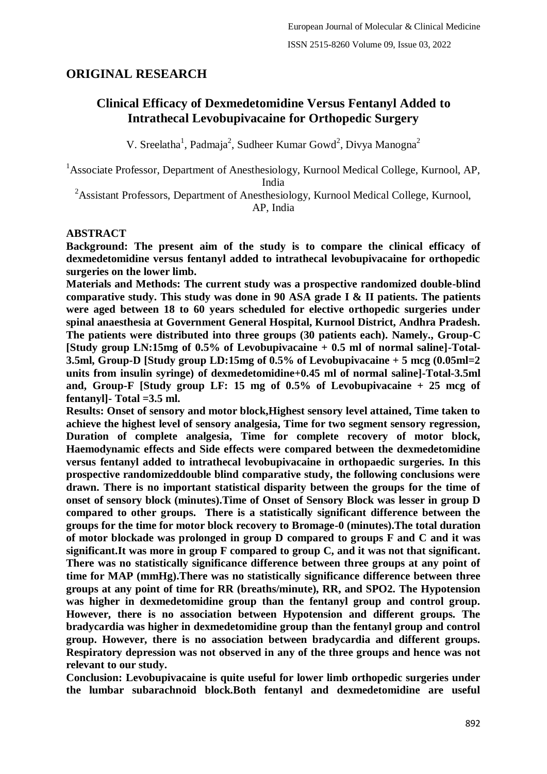# **ORIGINAL RESEARCH**

# **Clinical Efficacy of Dexmedetomidine Versus Fentanyl Added to Intrathecal Levobupivacaine for Orthopedic Surgery**

V. Sreelatha<sup>1</sup>, Padmaja<sup>2</sup>, Sudheer Kumar Gowd<sup>2</sup>, Divya Manogna<sup>2</sup>

<sup>1</sup>Associate Professor, Department of Anesthesiology, Kurnool Medical College, Kurnool, AP, India

<sup>2</sup>Assistant Professors, Department of Anesthesiology, Kurnool Medical College, Kurnool, AP, India

#### **ABSTRACT**

**Background: The present aim of the study is to compare the clinical efficacy of dexmedetomidine versus fentanyl added to intrathecal levobupivacaine for orthopedic surgeries on the lower limb.**

**Materials and Methods: The current study was a prospective randomized double-blind comparative study. This study was done in 90 ASA grade I & II patients. The patients were aged between 18 to 60 years scheduled for elective orthopedic surgeries under spinal anaesthesia at Government General Hospital, Kurnool District, Andhra Pradesh. The patients were distributed into three groups (30 patients each). Namely., Group-C [Study group LN:15mg of 0.5% of Levobupivacaine + 0.5 ml of normal saline]-Total-3.5ml, Group-D [Study group LD:15mg of 0.5% of Levobupivacaine + 5 mcg (0.05ml=2 units from insulin syringe) of dexmedetomidine+0.45 ml of normal saline]-Total-3.5ml and, Group-F [Study group LF: 15 mg of 0.5% of Levobupivacaine + 25 mcg of fentanyl]- Total =3.5 ml.**

**Results: Onset of sensory and motor block,Highest sensory level attained, Time taken to achieve the highest level of sensory analgesia, Time for two segment sensory regression, Duration of complete analgesia, Time for complete recovery of motor block, Haemodynamic effects and Side effects were compared between the dexmedetomidine versus fentanyl added to intrathecal levobupivacaine in orthopaedic surgeries. In this prospective randomizeddouble blind comparative study, the following conclusions were drawn. There is no important statistical disparity between the groups for the time of onset of sensory block (minutes).Time of Onset of Sensory Block was lesser in group D compared to other groups. There is a statistically significant difference between the groups for the time for motor block recovery to Bromage-0 (minutes).The total duration of motor blockade was prolonged in group D compared to groups F and C and it was significant.It was more in group F compared to group C, and it was not that significant. There was no statistically significance difference between three groups at any point of time for MAP (mmHg).There was no statistically significance difference between three groups at any point of time for RR (breaths/minute), RR, and SPO2. The Hypotension was higher in dexmedetomidine group than the fentanyl group and control group. However, there is no association between Hypotension and different groups. The bradycardia was higher in dexmedetomidine group than the fentanyl group and control group. However, there is no association between bradycardia and different groups. Respiratory depression was not observed in any of the three groups and hence was not relevant to our study.**

**Conclusion: Levobupivacaine is quite useful for lower limb orthopedic surgeries under the lumbar subarachnoid block.Both fentanyl and dexmedetomidine are useful**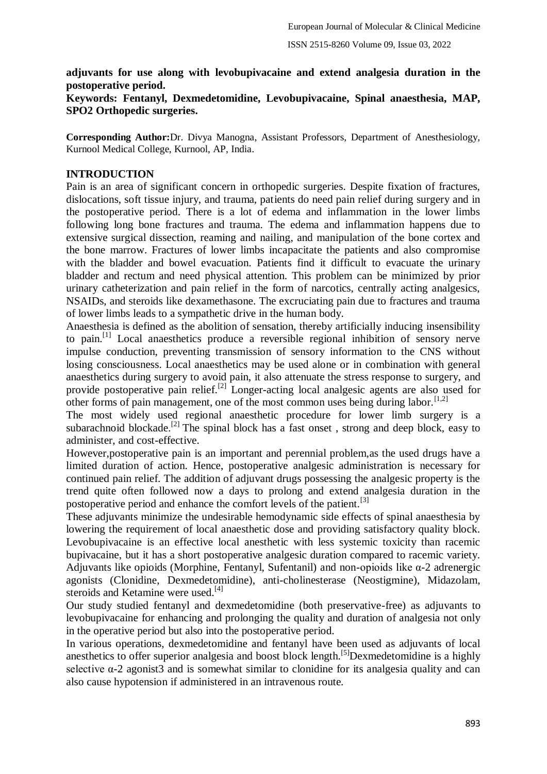### **adjuvants for use along with levobupivacaine and extend analgesia duration in the postoperative period.**

### **Keywords: Fentanyl, Dexmedetomidine, Levobupivacaine, Spinal anaesthesia, MAP, SPO2 Orthopedic surgeries.**

**Corresponding Author:**Dr. Divya Manogna, Assistant Professors, Department of Anesthesiology, Kurnool Medical College, Kurnool, AP, India.

### **INTRODUCTION**

Pain is an area of significant concern in orthopedic surgeries. Despite fixation of fractures, dislocations, soft tissue injury, and trauma, patients do need pain relief during surgery and in the postoperative period. There is a lot of edema and inflammation in the lower limbs following long bone fractures and trauma. The edema and inflammation happens due to extensive surgical dissection, reaming and nailing, and manipulation of the bone cortex and the bone marrow. Fractures of lower limbs incapacitate the patients and also compromise with the bladder and bowel evacuation. Patients find it difficult to evacuate the urinary bladder and rectum and need physical attention. This problem can be minimized by prior urinary catheterization and pain relief in the form of narcotics, centrally acting analgesics, NSAIDs, and steroids like dexamethasone. The excruciating pain due to fractures and trauma of lower limbs leads to a sympathetic drive in the human body.

Anaesthesia is defined as the abolition of sensation, thereby artificially inducing insensibility to pain.[1] Local anaesthetics produce a reversible regional inhibition of sensory nerve impulse conduction, preventing transmission of sensory information to the CNS without losing consciousness. Local anaesthetics may be used alone or in combination with general anaesthetics during surgery to avoid pain, it also attenuate the stress response to surgery, and provide postoperative pain relief.<sup>[2]</sup> Longer-acting local analgesic agents are also used for other forms of pain management, one of the most common uses being during labor.<sup>[1,2]</sup>

The most widely used regional anaesthetic procedure for lower limb surgery is a subarachnoid blockade.<sup>[2]</sup> The spinal block has a fast onset, strong and deep block, easy to administer, and cost-effective.

However,postoperative pain is an important and perennial problem,as the used drugs have a limited duration of action. Hence, postoperative analgesic administration is necessary for continued pain relief. The addition of adjuvant drugs possessing the analgesic property is the trend quite often followed now a days to prolong and extend analgesia duration in the postoperative period and enhance the comfort levels of the patient.<sup>[3]</sup>

These adjuvants minimize the undesirable hemodynamic side effects of spinal anaesthesia by lowering the requirement of local anaesthetic dose and providing satisfactory quality block. Levobupivacaine is an effective local anesthetic with less systemic toxicity than racemic bupivacaine, but it has a short postoperative analgesic duration compared to racemic variety. Adjuvants like opioids (Morphine, Fentanyl, Sufentanil) and non-opioids like α-2 adrenergic agonists (Clonidine, Dexmedetomidine), anti-cholinesterase (Neostigmine), Midazolam, steroids and Ketamine were used.<sup>[4]</sup>

Our study studied fentanyl and dexmedetomidine (both preservative-free) as adjuvants to levobupivacaine for enhancing and prolonging the quality and duration of analgesia not only in the operative period but also into the postoperative period.

In various operations, dexmedetomidine and fentanyl have been used as adjuvants of local anesthetics to offer superior analgesia and boost block length.<sup>[5]</sup>Dexmedetomidine is a highly selective  $\alpha$ -2 agonist3 and is somewhat similar to clonidine for its analgesia quality and can also cause hypotension if administered in an intravenous route.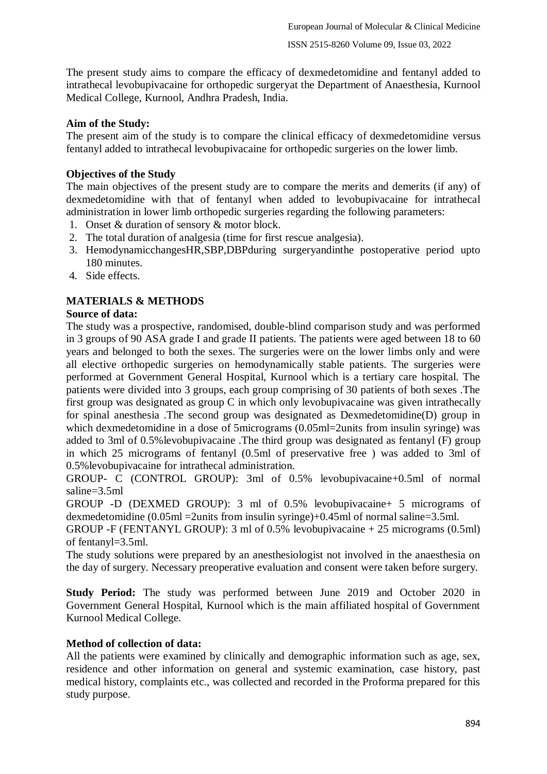The present study aims to compare the efficacy of dexmedetomidine and fentanyl added to intrathecal levobupivacaine for orthopedic surgeryat the Department of Anaesthesia, Kurnool Medical College, Kurnool, Andhra Pradesh, India.

## **Aim of the Study:**

The present aim of the study is to compare the clinical efficacy of dexmedetomidine versus fentanyl added to intrathecal levobupivacaine for orthopedic surgeries on the lower limb.

## **Objectives of the Study**

The main objectives of the present study are to compare the merits and demerits (if any) of dexmedetomidine with that of fentanyl when added to levobupivacaine for intrathecal administration in lower limb orthopedic surgeries regarding the following parameters:

- 1. Onset & duration of sensory & motor block.
- 2. The total duration of analgesia (time for first rescue analgesia).
- 3. HemodynamicchangesHR,SBP,DBPduring surgeryandinthe postoperative period upto 180 minutes.
- 4. Side effects.

## **MATERIALS & METHODS**

### **Source of data:**

The study was a prospective, randomised, double-blind comparison study and was performed in 3 groups of 90 ASA grade I and grade II patients. The patients were aged between 18 to 60 years and belonged to both the sexes. The surgeries were on the lower limbs only and were all elective orthopedic surgeries on hemodynamically stable patients. The surgeries were performed at Government General Hospital, Kurnool which is a tertiary care hospital. The patients were divided into 3 groups, each group comprising of 30 patients of both sexes .The first group was designated as group C in which only levobupivacaine was given intrathecally for spinal anesthesia .The second group was designated as Dexmedetomidine(D) group in which dexmedetomidine in a dose of 5micrograms (0.05ml=2units from insulin syringe) was added to 3ml of 0.5%levobupivacaine .The third group was designated as fentanyl (F) group in which 25 micrograms of fentanyl (0.5ml of preservative free ) was added to 3ml of 0.5%levobupivacaine for intrathecal administration.

GROUP- C (CONTROL GROUP): 3ml of 0.5% levobupivacaine+0.5ml of normal saline=3.5ml

GROUP -D (DEXMED GROUP): 3 ml of 0.5% levobupivacaine+ 5 micrograms of dexmedetomidine (0.05ml =2units from insulin syringe)+0.45ml of normal saline=3.5ml.

GROUP -F (FENTANYL GROUP): 3 ml of 0.5% levobupivacaine + 25 micrograms (0.5ml) of fentanyl=3.5ml.

The study solutions were prepared by an anesthesiologist not involved in the anaesthesia on the day of surgery. Necessary preoperative evaluation and consent were taken before surgery.

**Study Period:** The study was performed between June 2019 and October 2020 in Government General Hospital, Kurnool which is the main affiliated hospital of Government Kurnool Medical College.

### **Method of collection of data:**

All the patients were examined by clinically and demographic information such as age, sex, residence and other information on general and systemic examination, case history, past medical history, complaints etc., was collected and recorded in the Proforma prepared for this study purpose.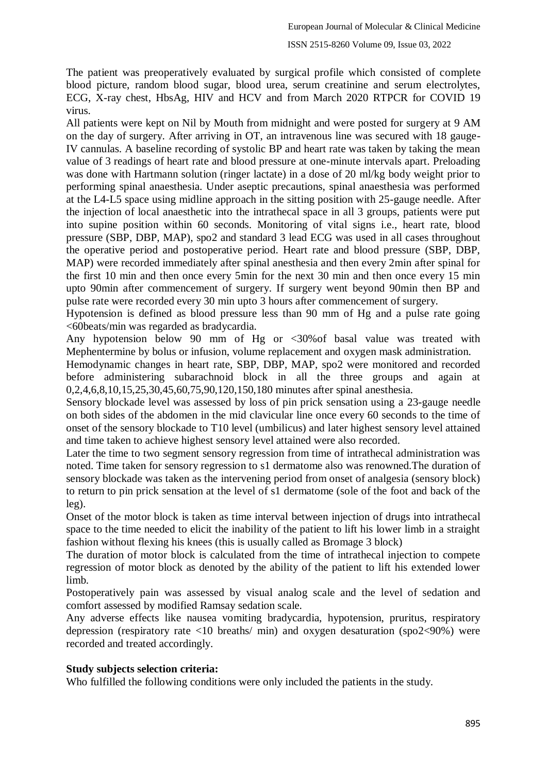The patient was preoperatively evaluated by surgical profile which consisted of complete blood picture, random blood sugar, blood urea, serum creatinine and serum electrolytes, ECG, X-ray chest, HbsAg, HIV and HCV and from March 2020 RTPCR for COVID 19 virus.

All patients were kept on Nil by Mouth from midnight and were posted for surgery at 9 AM on the day of surgery. After arriving in OT, an intravenous line was secured with 18 gauge-IV cannulas. A baseline recording of systolic BP and heart rate was taken by taking the mean value of 3 readings of heart rate and blood pressure at one-minute intervals apart. Preloading was done with Hartmann solution (ringer lactate) in a dose of 20 ml/kg body weight prior to performing spinal anaesthesia. Under aseptic precautions, spinal anaesthesia was performed at the L4-L5 space using midline approach in the sitting position with 25-gauge needle. After the injection of local anaesthetic into the intrathecal space in all 3 groups, patients were put into supine position within 60 seconds. Monitoring of vital signs i.e., heart rate, blood pressure (SBP, DBP, MAP), spo2 and standard 3 lead ECG was used in all cases throughout the operative period and postoperative period. Heart rate and blood pressure (SBP, DBP, MAP) were recorded immediately after spinal anesthesia and then every 2min after spinal for the first 10 min and then once every 5min for the next 30 min and then once every 15 min upto 90min after commencement of surgery. If surgery went beyond 90min then BP and pulse rate were recorded every 30 min upto 3 hours after commencement of surgery.

Hypotension is defined as blood pressure less than 90 mm of Hg and a pulse rate going <60beats/min was regarded as bradycardia.

Any hypotension below 90 mm of Hg or <30%of basal value was treated with Mephentermine by bolus or infusion, volume replacement and oxygen mask administration.

Hemodynamic changes in heart rate, SBP, DBP, MAP, spo2 were monitored and recorded before administering subarachnoid block in all the three groups and again at 0,2,4,6,8,10,15,25,30,45,60,75,90,120,150,180 minutes after spinal anesthesia.

Sensory blockade level was assessed by loss of pin prick sensation using a 23-gauge needle on both sides of the abdomen in the mid clavicular line once every 60 seconds to the time of onset of the sensory blockade to T10 level (umbilicus) and later highest sensory level attained and time taken to achieve highest sensory level attained were also recorded.

Later the time to two segment sensory regression from time of intrathecal administration was noted. Time taken for sensory regression to s1 dermatome also was renowned.The duration of sensory blockade was taken as the intervening period from onset of analgesia (sensory block) to return to pin prick sensation at the level of s1 dermatome (sole of the foot and back of the leg).

Onset of the motor block is taken as time interval between injection of drugs into intrathecal space to the time needed to elicit the inability of the patient to lift his lower limb in a straight fashion without flexing his knees (this is usually called as Bromage 3 block)

The duration of motor block is calculated from the time of intrathecal injection to compete regression of motor block as denoted by the ability of the patient to lift his extended lower limb.

Postoperatively pain was assessed by visual analog scale and the level of sedation and comfort assessed by modified Ramsay sedation scale.

Any adverse effects like nausea vomiting bradycardia, hypotension, pruritus, respiratory depression (respiratory rate <10 breaths/ min) and oxygen desaturation (spo2<90%) were recorded and treated accordingly.

### **Study subjects selection criteria:**

Who fulfilled the following conditions were only included the patients in the study.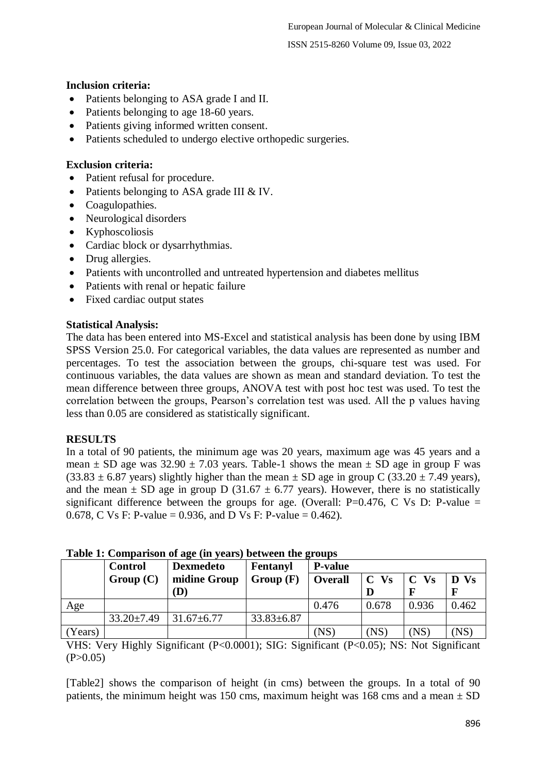### **Inclusion criteria:**

- Patients belonging to ASA grade I and II.
- Patients belonging to age 18-60 years.
- Patients giving informed written consent.
- Patients scheduled to undergo elective orthopedic surgeries.

### **Exclusion criteria:**

- Patient refusal for procedure.
- Patients belonging to ASA grade III & IV.
- Coagulopathies.
- Neurological disorders
- Kyphoscoliosis
- Cardiac block or dysarrhythmias.
- Drug allergies.
- Patients with uncontrolled and untreated hypertension and diabetes mellitus
- Patients with renal or hepatic failure
- Fixed cardiac output states

#### **Statistical Analysis:**

The data has been entered into MS-Excel and statistical analysis has been done by using IBM SPSS Version 25.0. For categorical variables, the data values are represented as number and percentages. To test the association between the groups, chi-square test was used. For continuous variables, the data values are shown as mean and standard deviation. To test the mean difference between three groups, ANOVA test with post hoc test was used. To test the correlation between the groups, Pearson's correlation test was used. All the p values having less than 0.05 are considered as statistically significant.

### **RESULTS**

In a total of 90 patients, the minimum age was 20 years, maximum age was 45 years and a mean  $\pm$  SD age was 32.90  $\pm$  7.03 years. Table-1 shows the mean  $\pm$  SD age in group F was  $(33.83 \pm 6.87 \text{ years})$  slightly higher than the mean  $\pm$  SD age in group C  $(33.20 \pm 7.49 \text{ years})$ , and the mean  $\pm$  SD age in group D (31.67  $\pm$  6.77 years). However, there is no statistically significant difference between the groups for age. (Overall:  $P=0.476$ , C Vs D: P-value = 0.678, C Vs F: P-value = 0.936, and D Vs F: P-value = 0.462).

|         | <b>Control</b>   | <b>Dexmedeto</b> | Fentanyl         | <b>P-value</b> |        |                 |       |
|---------|------------------|------------------|------------------|----------------|--------|-----------------|-------|
|         | Group(C)         | midine Group     | Group(F)         | <b>Overall</b> | $C$ Vs | $\mathbf{C}$ Vs | D Vs  |
|         |                  | (D)              |                  |                |        |                 |       |
| Age     |                  |                  |                  | 0.476          | 0.678  | 0.936           | 0.462 |
|         | $33.20 \pm 7.49$ | $31.67 \pm 6.77$ | $33.83 \pm 6.87$ |                |        |                 |       |
| (Years) |                  |                  |                  | (NS)           | (NS)   | (NS)            | (NS)  |

|  |  |  |  |  |  |  | Table 1: Comparison of age (in years) between the groups |  |  |
|--|--|--|--|--|--|--|----------------------------------------------------------|--|--|
|--|--|--|--|--|--|--|----------------------------------------------------------|--|--|

VHS: Very Highly Significant (P<0.0001); SIG: Significant (P<0.05); NS: Not Significant  $(P>0.05)$ 

[Table2] shows the comparison of height (in cms) between the groups. In a total of 90 patients, the minimum height was 150 cms, maximum height was 168 cms and a mean  $\pm$  SD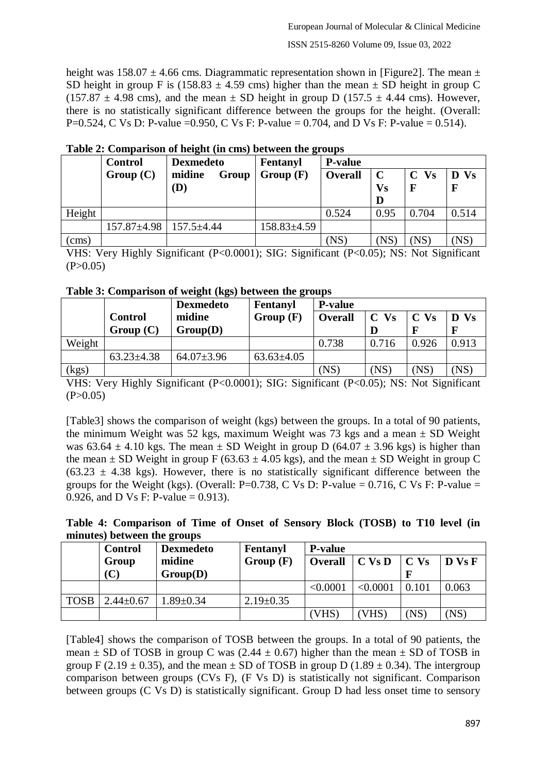height was  $158.07 \pm 4.66$  cms. Diagrammatic representation shown in [Figure2]. The mean  $\pm$ SD height in group F is (158.83  $\pm$  4.59 cms) higher than the mean  $\pm$  SD height in group C  $(157.87 \pm 4.98 \text{ cms})$ , and the mean  $\pm$  SD height in group D (157.5  $\pm$  4.44 cms). However, there is no statistically significant difference between the groups for the height. (Overall: P=0.524, C Vs D: P-value = 0.950, C Vs F: P-value = 0.704, and D Vs F: P-value = 0.514).

|        | <b>Control</b>                       | <b>Dexmedeto</b> | Fentanyl        | <b>P-value</b> |             |        |                |
|--------|--------------------------------------|------------------|-----------------|----------------|-------------|--------|----------------|
|        | Group(C)                             | Group<br>midine  | Group(F)        | <b>Overall</b> | $\mathbf C$ | $C$ Vs | <b>Vs</b><br>D |
|        |                                      | $\bf(D)$         |                 |                | <b>Vs</b>   | F      |                |
|        |                                      |                  |                 |                |             |        |                |
| Height |                                      |                  |                 | 0.524          | 0.95        | 0.704  | 0.514          |
|        | $157.87 \pm 4.98$   $157.5 \pm 4.44$ |                  | $158.83\pm4.59$ |                |             |        |                |
| (cms)  |                                      |                  |                 | (NS)           | (NS         | (NS)   | (NS)           |

**Table 2: Comparison of height (in cms) between the groups**

VHS: Very Highly Significant (P<0.0001); SIG: Significant (P<0.05); NS: Not Significant  $(P>0.05)$ 

|  |  | Table 3: Comparison of weight (kgs) between the groups |
|--|--|--------------------------------------------------------|
|  |  |                                                        |

|        |                  | <b>Dexmedeto</b> | Fentanyl       | <b>P-value</b> |        |                 |       |
|--------|------------------|------------------|----------------|----------------|--------|-----------------|-------|
|        | <b>Control</b>   | midine           | Group(F)       | <b>Overall</b> | $C$ Vs | C <sub>vs</sub> | D Vs  |
|        | Group(C)         | Group(D)         |                |                |        |                 |       |
| Weight |                  |                  |                | 0.738          | 0.716  | 0.926           | 0.913 |
|        | $63.23 \pm 4.38$ | $64.07 \pm 3.96$ | $63.63\pm4.05$ |                |        |                 |       |
| (kgs)  |                  |                  |                | (NS)           | (NS)   | NS)             | (NS   |

VHS: Very Highly Significant (P<0.0001); SIG: Significant (P<0.05); NS: Not Significant  $(P>0.05)$ 

[Table3] shows the comparison of weight (kgs) between the groups. In a total of 90 patients, the minimum Weight was 52 kgs, maximum Weight was 73 kgs and a mean  $\pm$  SD Weight was 63.64  $\pm$  4.10 kgs. The mean  $\pm$  SD Weight in group D (64.07  $\pm$  3.96 kgs) is higher than the mean  $\pm$  SD Weight in group F (63.63  $\pm$  4.05 kgs), and the mean  $\pm$  SD Weight in group C  $(63.23 \pm 4.38$  kgs). However, there is no statistically significant difference between the groups for the Weight (kgs). (Overall: P=0.738, C Vs D: P-value = 0.716, C Vs F: P-value = 0.926, and D Vs F: P-value = 0.913).

**Table 4: Comparison of Time of Onset of Sensory Block (TOSB) to T10 level (in minutes) between the groups**

|             | <b>Control</b>  | <b>Dexmedeto</b> | Fentanyl        | <b>P-value</b> |                  |                 |        |
|-------------|-----------------|------------------|-----------------|----------------|------------------|-----------------|--------|
|             | Group           | midine           | Group(F)        | Overall        | $\mathbf C$ Vs D | C <sub>vs</sub> | D Vs F |
|             | $(\mathbf{C})$  | Group(D)         |                 |                |                  |                 |        |
|             |                 |                  |                 | < 0.0001       | < 0.0001         | 0.101           | 0.063  |
| <b>TOSB</b> | $2.44 \pm 0.67$ | $.89 \pm 0.34$   | $2.19 \pm 0.35$ |                |                  |                 |        |
|             |                 |                  |                 | [VHS           | VHS)             | (NS)            | (NS)   |

[Table4] shows the comparison of TOSB between the groups. In a total of 90 patients, the mean  $\pm$  SD of TOSB in group C was (2.44  $\pm$  0.67) higher than the mean  $\pm$  SD of TOSB in group F (2.19  $\pm$  0.35), and the mean  $\pm$  SD of TOSB in group D (1.89  $\pm$  0.34). The intergroup comparison between groups (CVs F), (F Vs D) is statistically not significant. Comparison between groups (C Vs D) is statistically significant. Group D had less onset time to sensory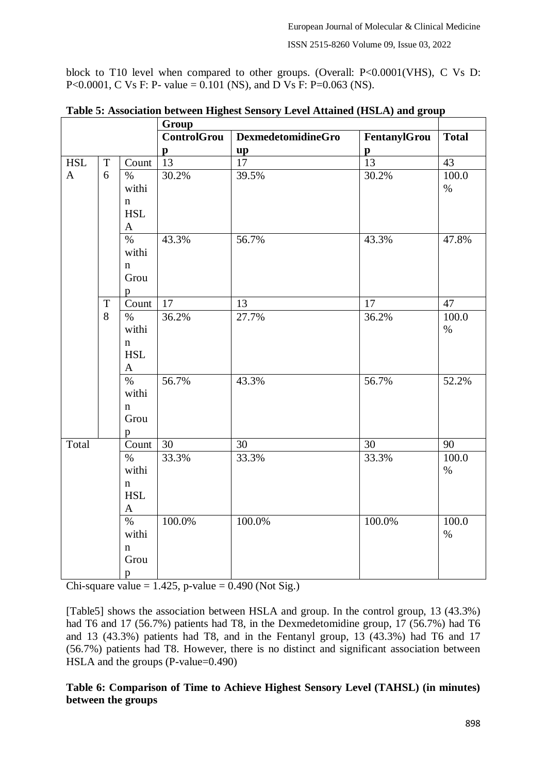ISSN 2515-8260 Volume 09, Issue 03, 2022

block to T10 level when compared to other groups. (Overall: P<0.0001(VHS), C Vs D: P<0.0001, C Vs F: P- value = 0.101 (NS), and D Vs F: P=0.063 (NS).

|              |             |                                    | Group              |                           |                 |                 |
|--------------|-------------|------------------------------------|--------------------|---------------------------|-----------------|-----------------|
|              |             |                                    | <b>ControlGrou</b> | <b>DexmedetomidineGro</b> | FentanylGrou    | <b>Total</b>    |
|              |             |                                    | $\mathbf{p}$       |                           | $\mathbf{p}$    |                 |
| <b>HSL</b>   | $\mathbf T$ | Count                              | $\overline{13}$    | $\frac{\mathbf{up}}{17}$  | $\overline{13}$ | $\overline{43}$ |
| $\mathbf{A}$ | 6           | $\%$                               | 30.2%              | 39.5%                     | 30.2%           | 100.0           |
|              |             | withi                              |                    |                           |                 | $\%$            |
|              |             | $\mathbf n$                        |                    |                           |                 |                 |
|              |             | <b>HSL</b>                         |                    |                           |                 |                 |
|              |             | $\mathbf{A}$                       |                    |                           |                 |                 |
|              |             | $\frac{0}{6}$                      | 43.3%              | 56.7%                     | 43.3%           | 47.8%           |
|              |             | withi                              |                    |                           |                 |                 |
|              |             | $\mathbf{n}$                       |                    |                           |                 |                 |
|              |             | Grou                               |                    |                           |                 |                 |
|              |             | $\mathbf{p}$                       |                    |                           |                 |                 |
|              | $\mathbf T$ | $\overline{\text{Count}}$          | 17                 | 13                        | 17              | 47              |
|              | 8           | $\%$                               | 36.2%              | 27.7%                     | 36.2%           | 100.0           |
|              |             | withi                              |                    |                           |                 | $\%$            |
|              |             | $\mathbf n$                        |                    |                           |                 |                 |
|              |             | <b>HSL</b>                         |                    |                           |                 |                 |
|              |             | $\mathbf{A}$                       |                    |                           |                 |                 |
|              |             | $\%$                               | 56.7%              | 43.3%                     | 56.7%           | 52.2%           |
|              |             | withi                              |                    |                           |                 |                 |
|              |             | $\mathbf{n}$                       |                    |                           |                 |                 |
|              |             | Grou                               |                    |                           |                 |                 |
|              |             | p                                  |                    |                           |                 |                 |
| Total        |             | Count                              | 30                 | 30                        | 30              | 90              |
|              |             | $\overline{\%}$                    | 33.3%              | 33.3%                     | 33.3%           | 100.0           |
|              |             | withi                              |                    |                           |                 | $\%$            |
|              |             | $\mathbf n$<br><b>HSL</b>          |                    |                           |                 |                 |
|              |             | $\mathbf{A}$                       |                    |                           |                 |                 |
|              |             | $\overline{\%}$                    | 100.0%             | 100.0%                    | 100.0%          | 100.0           |
|              |             |                                    |                    |                           |                 |                 |
|              |             |                                    |                    |                           |                 |                 |
|              |             |                                    |                    |                           |                 |                 |
|              |             |                                    |                    |                           |                 |                 |
|              |             | withi<br>$\mathbf{n}$<br>Grou<br>p |                    |                           |                 | $\%$            |

**Table 5: Association between Highest Sensory Level Attained (HSLA) and group**

Chi-square value  $= 1.425$ , p-value  $= 0.490$  (Not Sig.)

[Table5] shows the association between HSLA and group. In the control group, 13 (43.3%) had T6 and 17 (56.7%) patients had T8, in the Dexmedetomidine group, 17 (56.7%) had T6 and 13 (43.3%) patients had T8, and in the Fentanyl group, 13 (43.3%) had T6 and 17 (56.7%) patients had T8. However, there is no distinct and significant association between HSLA and the groups (P-value=0.490)

### **Table 6: Comparison of Time to Achieve Highest Sensory Level (TAHSL) (in minutes) between the groups**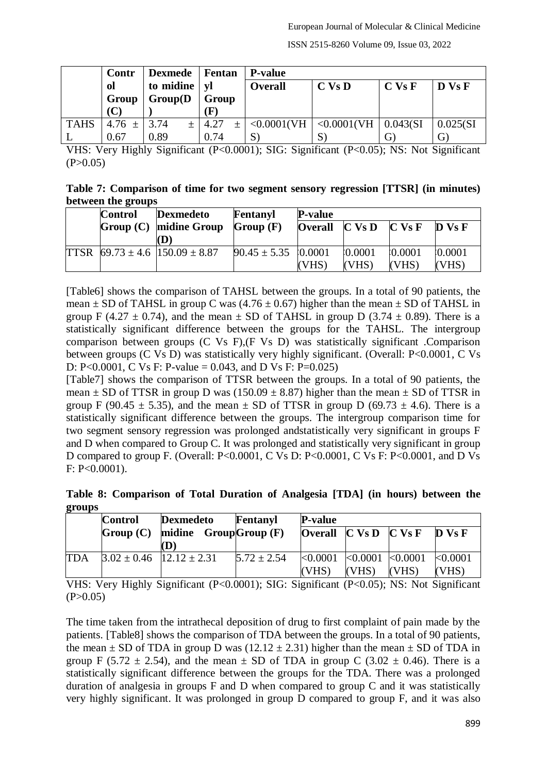|             | Contr                | Dexmede   Fentan |                                                         | P-value                      |                                            |          |                      |  |  |
|-------------|----------------------|------------------|---------------------------------------------------------|------------------------------|--------------------------------------------|----------|----------------------|--|--|
|             | to midine   yl<br>ol |                  |                                                         | $C$ Vs $D$<br><b>Overall</b> |                                            | $C$ Vs F | $\bf{D}$ Vs $\bf{F}$ |  |  |
|             | Group(D)<br>Group    |                  | Group                                                   |                              |                                            |          |                      |  |  |
|             | (C                   |                  | $(\mathbf{F}% )^{T}=\mathbf{G}^{T}\times\mathbf{C}^{T}$ |                              |                                            |          |                      |  |  |
| <b>TAHS</b> | $4.76 \pm 3.74$      | $\pm$            | 4.27<br>$\pm$                                           |                              | $< 0.0001$ (VH   $< 0.0001$ (VH   0.043(SI |          | 0.025(SI)            |  |  |
|             | 0.67                 | 0.89             | 0.74                                                    |                              |                                            |          |                      |  |  |

VHS: Very Highly Significant (P<0.0001); SIG: Significant (P<0.05); NS: Not Significant  $(P>0.05)$ 

**Table 7: Comparison of time for two segment sensory regression [TTSR] (in minutes) between the groups**

| <b>Control</b> | <b>Dexmedeto</b>                                                  | Fentanyl                  | <b>P-value</b> |                                                                                                  |         |                      |
|----------------|-------------------------------------------------------------------|---------------------------|----------------|--------------------------------------------------------------------------------------------------|---------|----------------------|
|                | $Group (C)$ midine Group                                          | Group(F)                  |                | <b>Overall</b> $\begin{bmatrix} C & V_S D \end{bmatrix} \begin{bmatrix} C & V_S F \end{bmatrix}$ |         | $\bf{D}$ Vs $\bf{F}$ |
|                | (D)                                                               |                           |                |                                                                                                  |         |                      |
|                | TTSR $\left[69.73 \pm 4.6 \right]$ $\left[150.09 \pm 8.87\right]$ | $90.45 \pm 5.35$ $0.0001$ |                | 10.0001                                                                                          | 10.0001 | 0.0001               |
|                |                                                                   |                           | (VHS)          | (VHS)                                                                                            | (VHS)   | (VHS)                |

[Table6] shows the comparison of TAHSL between the groups. In a total of 90 patients, the mean  $\pm$  SD of TAHSL in group C was (4.76  $\pm$  0.67) higher than the mean  $\pm$  SD of TAHSL in group F (4.27  $\pm$  0.74), and the mean  $\pm$  SD of TAHSL in group D (3.74  $\pm$  0.89). There is a statistically significant difference between the groups for the TAHSL. The intergroup comparison between groups (C Vs F),(F Vs D) was statistically significant .Comparison between groups (C Vs D) was statistically very highly significant. (Overall: P<0.0001, C Vs D: P<0.0001, C Vs F: P-value = 0.043, and D Vs F: P=0.025)

[Table7] shows the comparison of TTSR between the groups. In a total of 90 patients, the mean  $\pm$  SD of TTSR in group D was (150.09  $\pm$  8.87) higher than the mean  $\pm$  SD of TTSR in group F (90.45  $\pm$  5.35), and the mean  $\pm$  SD of TTSR in group D (69.73  $\pm$  4.6). There is a statistically significant difference between the groups. The intergroup comparison time for two segment sensory regression was prolonged andstatistically very significant in groups F and D when compared to Group C. It was prolonged and statistically very significant in group D compared to group F. (Overall: P<0.0001, C Vs D: P<0.0001, C Vs F: P<0.0001, and D Vs F: P<0.0001).

**Table 8: Comparison of Total Duration of Analgesia [TDA] (in hours) between the groups**

|            | <b>Control</b>                     | <b>Dexmedeto</b>                 | Fentanyl        | <b>P-value</b> |                       |                                                                                  |         |  |
|------------|------------------------------------|----------------------------------|-----------------|----------------|-----------------------|----------------------------------------------------------------------------------|---------|--|
|            | midine $GroupGroup(F)$<br>Group(C) |                                  |                 |                |                       | <b>Overall</b> $\begin{bmatrix} C & V_S D & C & V_S F & D & V_S F \end{bmatrix}$ |         |  |
|            |                                    | (D`                              |                 |                |                       |                                                                                  |         |  |
| <b>TDA</b> |                                    | $3.02 \pm 0.46$ $12.12 \pm 2.31$ | $5.72 \pm 2.54$ | < 0.0001       | $< 0.0001$ $< 0.0001$ |                                                                                  | k0.0001 |  |
|            |                                    |                                  |                 | (VHS)          | (VHS)                 | (VHS)                                                                            | (VHS)   |  |

VHS: Very Highly Significant (P<0.0001); SIG: Significant (P<0.05); NS: Not Significant  $(P>0.05)$ 

The time taken from the intrathecal deposition of drug to first complaint of pain made by the patients. [Table8] shows the comparison of TDA between the groups. In a total of 90 patients, the mean  $\pm$  SD of TDA in group D was (12.12  $\pm$  2.31) higher than the mean  $\pm$  SD of TDA in group F (5.72  $\pm$  2.54), and the mean  $\pm$  SD of TDA in group C (3.02  $\pm$  0.46). There is a statistically significant difference between the groups for the TDA. There was a prolonged duration of analgesia in groups F and D when compared to group C and it was statistically very highly significant. It was prolonged in group D compared to group F, and it was also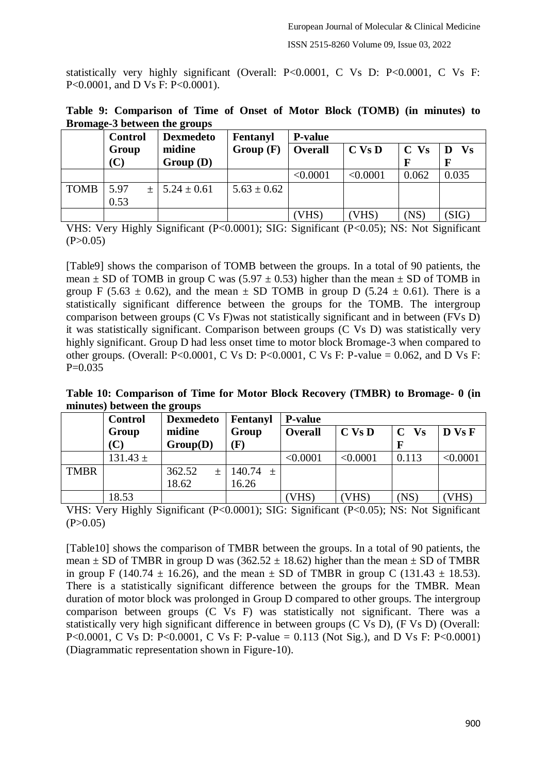statistically very highly significant (Overall: P<0.0001, C Vs D: P<0.0001, C Vs F: P<0.0001, and D Vs F: P<0.0001).

|  | Table 9: Comparison of Time of Onset of Motor Block (TOMB) (in minutes) to |  |  |  |  |  |  |
|--|----------------------------------------------------------------------------|--|--|--|--|--|--|
|  | Bromage-3 between the groups                                               |  |  |  |  |  |  |

|             | <b>Control</b> | <b>Dexmedeto</b>      | Fentanyl        | <b>P-value</b> |            |        |           |
|-------------|----------------|-----------------------|-----------------|----------------|------------|--------|-----------|
|             | Group          | midine                | Group(F)        | <b>Overall</b> | $C$ Vs $D$ | $C$ Vs | <b>Vs</b> |
|             |                | Group(D)              |                 |                |            |        |           |
|             |                |                       |                 | < 0.0001       | < 0.0001   | 0.062  | 0.035     |
| <b>TOMB</b> | 5.97           | $\pm$ 5.24 $\pm$ 0.61 | $5.63 \pm 0.62$ |                |            |        |           |
|             | 0.53           |                       |                 |                |            |        |           |
|             |                |                       |                 | VHS            | VHS)       | (NS)   | (SIG)     |

VHS: Very Highly Significant (P<0.0001); SIG: Significant (P<0.05); NS: Not Significant  $(P>0.05)$ 

[Table9] shows the comparison of TOMB between the groups. In a total of 90 patients, the mean  $\pm$  SD of TOMB in group C was (5.97  $\pm$  0.53) higher than the mean  $\pm$  SD of TOMB in group F (5.63  $\pm$  0.62), and the mean  $\pm$  SD TOMB in group D (5.24  $\pm$  0.61). There is a statistically significant difference between the groups for the TOMB. The intergroup comparison between groups (C Vs F)was not statistically significant and in between (FVs D) it was statistically significant. Comparison between groups (C Vs D) was statistically very highly significant. Group D had less onset time to motor block Bromage-3 when compared to other groups. (Overall: P<0.0001, C Vs D: P<0.0001, C Vs F: P-value = 0.062, and D Vs F:  $P=0.035$ 

**Table 10: Comparison of Time for Motor Block Recovery (TMBR) to Bromage- 0 (in minutes) between the groups**

|             | <b>Control</b> | <b>Dexmedeto</b> | Fentanyl     | <b>P-value</b> |            |                          |          |  |  |  |
|-------------|----------------|------------------|--------------|----------------|------------|--------------------------|----------|--|--|--|
|             | Group          | midine           | Group        | <b>Overall</b> | $C$ Vs $D$ | $\mathbf C$<br><b>Vs</b> | D Vs F   |  |  |  |
|             | (C)            | Group(D)         | (F)          |                |            |                          |          |  |  |  |
|             | $131.43 \pm$   |                  |              | < 0.0001       | < 0.0001   | 0.113                    | < 0.0001 |  |  |  |
| <b>TMBR</b> |                | 362.52<br>$+$    | 140.74 $\pm$ |                |            |                          |          |  |  |  |
|             |                | 18.62            | 16.26        |                |            |                          |          |  |  |  |
|             | 18.53          |                  |              | VHS)           | VHS)       | (NS)                     | VHS)     |  |  |  |

VHS: Very Highly Significant (P<0.0001); SIG: Significant (P<0.05); NS: Not Significant  $(P>0.05)$ 

[Table10] shows the comparison of TMBR between the groups. In a total of 90 patients, the mean  $\pm$  SD of TMBR in group D was (362.52  $\pm$  18.62) higher than the mean  $\pm$  SD of TMBR in group F (140.74  $\pm$  16.26), and the mean  $\pm$  SD of TMBR in group C (131.43  $\pm$  18.53). There is a statistically significant difference between the groups for the TMBR. Mean duration of motor block was prolonged in Group D compared to other groups. The intergroup comparison between groups (C Vs F) was statistically not significant. There was a statistically very high significant difference in between groups (C Vs D), (F Vs D) (Overall: P<0.0001, C Vs D: P<0.0001, C Vs F: P-value = 0.113 (Not Sig.), and D Vs F: P<0.0001) (Diagrammatic representation shown in Figure-10).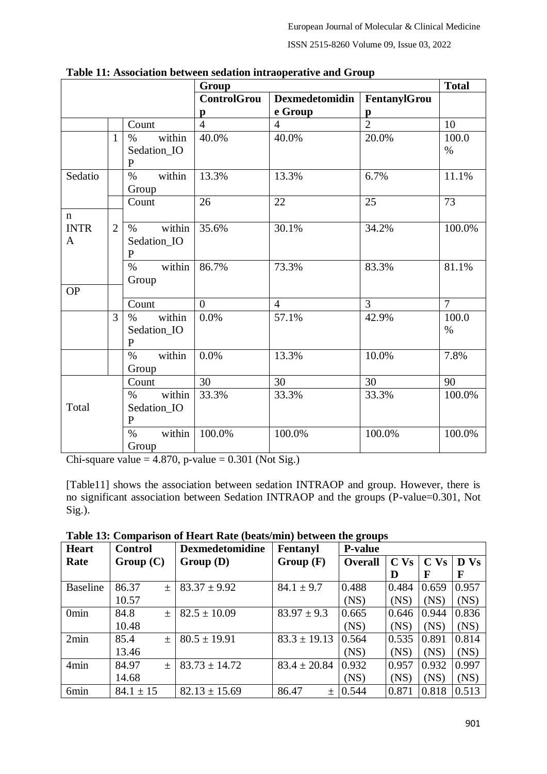|              |                |                | Group              |                       |                | <b>Total</b>   |
|--------------|----------------|----------------|--------------------|-----------------------|----------------|----------------|
|              |                |                | <b>ControlGrou</b> | <b>Dexmedetomidin</b> | FentanylGrou   |                |
|              |                |                | p                  | e Group               | p              |                |
|              |                | Count          | $\overline{4}$     | 4                     | $\overline{2}$ | 10             |
|              | $\mathbf{1}$   | within<br>$\%$ | $40.0\%$           | 40.0%                 | 20.0%          | 100.0          |
|              |                | Sedation_IO    |                    |                       |                | $\%$           |
|              |                | $\mathbf{P}$   |                    |                       |                |                |
| Sedatio      |                | within<br>$\%$ | 13.3%              | 13.3%                 | 6.7%           | 11.1%          |
|              |                | Group          |                    |                       |                |                |
|              |                | Count          | 26                 | 22                    | 25             | 73             |
| $\mathbf n$  |                |                |                    |                       |                |                |
| <b>INTR</b>  | $\overline{2}$ | within<br>$\%$ | 35.6%              | 30.1%                 | 34.2%          | 100.0%         |
| $\mathbf{A}$ |                | Sedation_IO    |                    |                       |                |                |
|              |                | ${\bf P}$      |                    |                       |                |                |
|              |                | within<br>$\%$ | 86.7%              | 73.3%                 | 83.3%          | 81.1%          |
| <b>OP</b>    |                | Group          |                    |                       |                |                |
|              |                | Count          | $\overline{0}$     | $\overline{4}$        | $\overline{3}$ | $\overline{7}$ |
|              | 3              | within<br>$\%$ | 0.0%               | 57.1%                 | 42.9%          | 100.0          |
|              |                | Sedation_IO    |                    |                       |                | $\%$           |
|              |                | $\mathbf{P}$   |                    |                       |                |                |
|              |                | within<br>$\%$ | 0.0%               | 13.3%                 | 10.0%          | 7.8%           |
|              |                | Group          |                    |                       |                |                |
|              |                | Count          | 30                 | 30                    | 30             | 90             |
|              |                | within<br>$\%$ | 33.3%              | 33.3%                 | 33.3%          | 100.0%         |
| Total        |                | Sedation_IO    |                    |                       |                |                |
|              |                | ${\bf P}$      |                    |                       |                |                |
|              |                | within<br>$\%$ | 100.0%             | 100.0%                | 100.0%         | 100.0%         |
|              |                | Group          |                    |                       |                |                |

**Table 11: Association between sedation intraoperative and Group**

Chi-square value =  $4.870$ , p-value =  $0.301$  (Not Sig.)

[Table11] shows the association between sedation INTRAOP and group. However, there is no significant association between Sedation INTRAOP and the groups (P-value=0.301, Not Sig.).

**Table 13: Comparison of Heart Rate (beats/min) between the groups**

| <b>Heart</b>     | <b>Control</b> | <b>Dexmedetomidine</b> | Fentanyl         | $\bullet$<br><b>P-value</b> |                 |                 |       |
|------------------|----------------|------------------------|------------------|-----------------------------|-----------------|-----------------|-------|
| Rate             | Group(C)       | Group(D)               | Group(F)         | <b>Overall</b>              | C <sub>vs</sub> | C <sub>vs</sub> | D Vs  |
|                  |                |                        |                  |                             | D               | F               | F     |
| <b>Baseline</b>  | 86.37<br>$\pm$ | $83.37 \pm 9.92$       | $84.1 \pm 9.7$   | 0.488                       | 0.484           | 0.659           | 0.957 |
|                  | 10.57          |                        |                  | (NS)                        | (NS)            | (NS)            | (NS)  |
| 0 <sub>min</sub> | 84.8<br>$+$    | $82.5 \pm 10.09$       | $83.97 \pm 9.3$  | 0.665                       | 0.646           | 0.944           | 0.836 |
|                  | 10.48          |                        |                  | (NS)                        | (NS)            | (NS)            | (NS)  |
| 2min             | 85.4<br>土      | $80.5 \pm 19.91$       | $83.3 \pm 19.13$ | 0.564                       | 0.535           | 0.891           | 0.814 |
|                  | 13.46          |                        |                  | (NS)                        | (NS)            | (NS)            | (NS)  |
| 4min             | 84.97<br>土     | $83.73 \pm 14.72$      | $83.4 \pm 20.84$ | 0.932                       | 0.957           | 0.932           | 0.997 |
|                  | 14.68          |                        |                  | (NS)                        | (NS)            | (NS)            | (NS)  |
| 6min             | $84.1 \pm 15$  | $82.13 \pm 15.69$      | 86.47<br>$+$     | 0.544                       | 0.871           | 0.818           | 0.513 |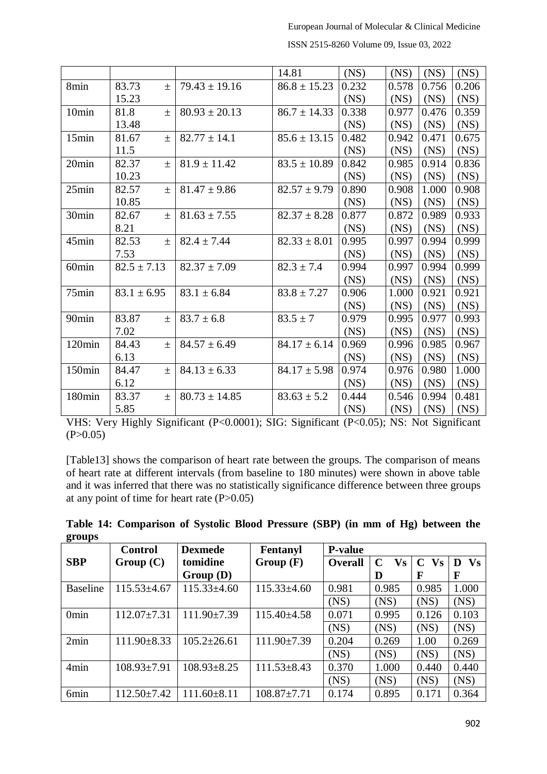|                    |                 |                   | 14.81            | (NS)  | (NS)  | (NS)  | (NS)  |
|--------------------|-----------------|-------------------|------------------|-------|-------|-------|-------|
| 8min               | 83.73<br>$\pm$  | $79.43 \pm 19.16$ | $86.8 \pm 15.23$ | 0.232 | 0.578 | 0.756 | 0.206 |
|                    | 15.23           |                   |                  | (NS)  | (NS)  | (NS)  | (NS)  |
| 10 <sub>min</sub>  | 81.8<br>$\pm$   | $80.93 \pm 20.13$ | $86.7 \pm 14.33$ | 0.338 | 0.977 | 0.476 | 0.359 |
|                    | 13.48           |                   |                  | (NS)  | (NS)  | (NS)  | (NS)  |
| 15min              | 81.67<br>$\pm$  | $82.77 \pm 14.1$  | $85.6 \pm 13.15$ | 0.482 | 0.942 | 0.471 | 0.675 |
|                    | 11.5            |                   |                  | (NS)  | (NS)  | (NS)  | (NS)  |
| 20min              | 82.37<br>$\pm$  | $81.9 \pm 11.42$  | $83.5 \pm 10.89$ | 0.842 | 0.985 | 0.914 | 0.836 |
|                    | 10.23           |                   |                  | (NS)  | (NS)  | (NS)  | (NS)  |
| 25min              | 82.57<br>$\pm$  | $81.47 \pm 9.86$  | $82.57 \pm 9.79$ | 0.890 | 0.908 | 1.000 | 0.908 |
|                    | 10.85           |                   |                  | (NS)  | (NS)  | (NS)  | (NS)  |
| 30min              | 82.67<br>$\pm$  | $81.63 \pm 7.55$  | $82.37 \pm 8.28$ | 0.877 | 0.872 | 0.989 | 0.933 |
|                    | 8.21            |                   |                  | (NS)  | (NS)  | (NS)  | (NS)  |
| 45min              | 82.53<br>$\pm$  | $82.4 \pm 7.44$   | $82.33 \pm 8.01$ | 0.995 | 0.997 | 0.994 | 0.999 |
|                    | 7.53            |                   |                  | (NS)  | (NS)  | (NS)  | (NS)  |
| 60 <sub>min</sub>  | $82.5 \pm 7.13$ | $82.37 \pm 7.09$  | $82.3 \pm 7.4$   | 0.994 | 0.997 | 0.994 | 0.999 |
|                    |                 |                   |                  | (NS)  | (NS)  | (NS)  | (NS)  |
| 75min              | $83.1 \pm 6.95$ | $83.1 \pm 6.84$   | $83.8 \pm 7.27$  | 0.906 | 1.000 | 0.921 | 0.921 |
|                    |                 |                   |                  | (NS)  | (NS)  | (NS)  | (NS)  |
| 90 <sub>min</sub>  | 83.87<br>$\pm$  | $83.7 \pm 6.8$    | $83.5 \pm 7$     | 0.979 | 0.995 | 0.977 | 0.993 |
|                    | 7.02            |                   |                  | (NS)  | (NS)  | (NS)  | (NS)  |
| 120min             | 84.43<br>$+$    | $84.57 \pm 6.49$  | $84.17 \pm 6.14$ | 0.969 | 0.996 | 0.985 | 0.967 |
|                    | 6.13            |                   |                  | (NS)  | (NS)  | (NS)  | (NS)  |
| 150 <sub>min</sub> | 84.47<br>$\pm$  | $84.13 \pm 6.33$  | $84.17 \pm 5.98$ | 0.974 | 0.976 | 0.980 | 1.000 |
|                    | 6.12            |                   |                  | (NS)  | (NS)  | (NS)  | (NS)  |
| 180min             | 83.37<br>$\pm$  | $80.73 \pm 14.85$ | $83.63 \pm 5.2$  | 0.444 | 0.546 | 0.994 | 0.481 |
|                    | 5.85            |                   |                  | (NS)  | (NS)  | (NS)  | (NS)  |

ISSN 2515-8260 Volume 09, Issue 03, 2022

VHS: Very Highly Significant (P<0.0001); SIG: Significant (P<0.05); NS: Not Significant  $(P>0.05)$ 

[Table13] shows the comparison of heart rate between the groups. The comparison of means of heart rate at different intervals (from baseline to 180 minutes) were shown in above table and it was inferred that there was no statistically significance difference between three groups at any point of time for heart rate (P>0.05)

|        | Table 14: Comparison of Systolic Blood Pressure (SBP) (in mm of Hg) between the |  |  |  |  |  |
|--------|---------------------------------------------------------------------------------|--|--|--|--|--|
| groups |                                                                                 |  |  |  |  |  |

|                  | <b>Control</b>    | <b>Dexmede</b>    | Fentanyl          | <b>P-value</b> |                |                |           |
|------------------|-------------------|-------------------|-------------------|----------------|----------------|----------------|-----------|
| <b>SBP</b>       | Group(C)          | tomidine          | Group(F)          | <b>Overall</b> | <b>Vs</b><br>C | C<br><b>Vs</b> | <b>Vs</b> |
|                  |                   | Group(D)          |                   |                | D              | F              | F         |
| <b>Baseline</b>  | $115.53\pm4.67$   | $115.33\pm4.60$   | $115.33\pm4.60$   | 0.981          | 0.985          | 0.985          | 1.000     |
|                  |                   |                   |                   | (NS)           | (NS)           | (NS)           | (NS)      |
| 0 <sub>min</sub> | $112.07 \pm 7.31$ | $111.90\pm7.39$   | $115.40\pm4.58$   | 0.071          | 0.995          | 0.126          | 0.103     |
|                  |                   |                   |                   | (NS)           | (NS)           | (NS)           | (NS)      |
| 2min             | $111.90 \pm 8.33$ | $105.2 \pm 26.61$ | $111.90\pm7.39$   | 0.204          | 0.269          | 1.00           | 0.269     |
|                  |                   |                   |                   | (NS)           | (NS)           | (NS)           | (NS)      |
| 4min             | $108.93 \pm 7.91$ | $108.93 \pm 8.25$ | $111.53 \pm 8.43$ | 0.370          | 1.000          | 0.440          | 0.440     |
|                  |                   |                   |                   | (NS)           | (NS)           | (NS)           | (NS)      |
| 6min             | $112.50 \pm 7.42$ | $111.60 \pm 8.11$ | $108.87 \pm 7.71$ | 0.174          | 0.895          | 0.171          | 0.364     |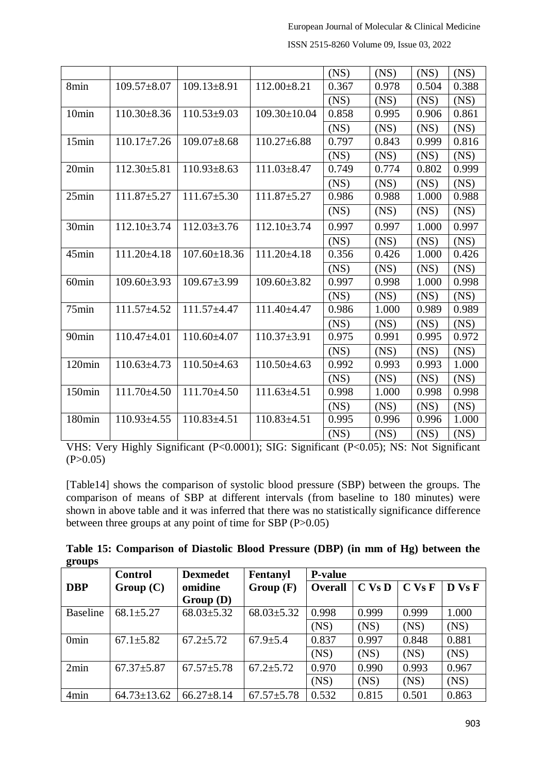|                   |                   |                    |                    | (NS)  | (NS)  | (NS)  | (NS)  |
|-------------------|-------------------|--------------------|--------------------|-------|-------|-------|-------|
| 8min              | $109.57 \pm 8.07$ | $109.13 \pm 8.91$  | $112.00 \pm 8.21$  | 0.367 | 0.978 | 0.504 | 0.388 |
|                   |                   |                    |                    | (NS)  | (NS)  | (NS)  | (NS)  |
| 10min             | $110.30 \pm 8.36$ | $110.53 \pm 9.03$  | $109.30 \pm 10.04$ | 0.858 | 0.995 | 0.906 | 0.861 |
|                   |                   |                    |                    | (NS)  | (NS)  | (NS)  | (NS)  |
| 15min             | $110.17 \pm 7.26$ | $109.07 \pm 8.68$  | $110.27 \pm 6.88$  | 0.797 | 0.843 | 0.999 | 0.816 |
|                   |                   |                    |                    | (NS)  | (NS)  | (NS)  | (NS)  |
| 20min             | $112.30 \pm 5.81$ | $110.93 \pm 8.63$  | $111.03 \pm 8.47$  | 0.749 | 0.774 | 0.802 | 0.999 |
|                   |                   |                    |                    | (NS)  | (NS)  | (NS)  | (NS)  |
| 25min             | $111.87 \pm 5.27$ | $111.67 \pm 5.30$  | $111.87 \pm 5.27$  | 0.986 | 0.988 | 1.000 | 0.988 |
|                   |                   |                    |                    | (NS)  | (NS)  | (NS)  | (NS)  |
| 30 <sub>min</sub> | $112.10\pm3.74$   | $112.03 \pm 3.76$  | $112.10\pm3.74$    | 0.997 | 0.997 | 1.000 | 0.997 |
|                   |                   |                    |                    | (NS)  | (NS)  | (NS)  | (NS)  |
| 45min             | $111.20 \pm 4.18$ | $107.60 \pm 18.36$ | $111.20 \pm 4.18$  | 0.356 | 0.426 | 1.000 | 0.426 |
|                   |                   |                    |                    | (NS)  | (NS)  | (NS)  | (NS)  |
| 60 <sub>min</sub> | $109.60 \pm 3.93$ | $109.67 \pm 3.99$  | $109.60 \pm 3.82$  | 0.997 | 0.998 | 1.000 | 0.998 |
|                   |                   |                    |                    | (NS)  | (NS)  | (NS)  | (NS)  |
| 75min             | $111.57 \pm 4.52$ | $111.57 \pm 4.47$  | 111.40±4.47        | 0.986 | 1.000 | 0.989 | 0.989 |
|                   |                   |                    |                    | (NS)  | (NS)  | (NS)  | (NS)  |
| 90 <sub>min</sub> | $110.47\pm4.01$   | $110.60\pm4.07$    | $110.37 \pm 3.91$  | 0.975 | 0.991 | 0.995 | 0.972 |
|                   |                   |                    |                    | (NS)  | (NS)  | (NS)  | (NS)  |
| 120min            | $110.63 \pm 4.73$ | $110.50\pm4.63$    | $110.50\pm4.63$    | 0.992 | 0.993 | 0.993 | 1.000 |
|                   |                   |                    |                    | (NS)  | (NS)  | (NS)  | (NS)  |
| 150min            | 111.70±4.50       | $111.70 \pm 4.50$  | $111.63 \pm 4.51$  | 0.998 | 1.000 | 0.998 | 0.998 |
|                   |                   |                    |                    | (NS)  | (NS)  | (NS)  | (NS)  |
| 180min            | $110.93 \pm 4.55$ | $110.83\pm4.51$    | $110.83{\pm}4.51$  | 0.995 | 0.996 | 0.996 | 1.000 |
|                   |                   |                    |                    | (NS)  | (NS)  | (NS)  | (NS)  |

ISSN 2515-8260 Volume 09, Issue 03, 2022

VHS: Very Highly Significant (P<0.0001); SIG: Significant (P<0.05); NS: Not Significant  $(P>0.05)$ 

[Table14] shows the comparison of systolic blood pressure (SBP) between the groups. The comparison of means of SBP at different intervals (from baseline to 180 minutes) were shown in above table and it was inferred that there was no statistically significance difference between three groups at any point of time for SBP (P>0.05)

|        | Table 15: Comparison of Diastolic Blood Pressure (DBP) (in mm of Hg) between the |  |  |  |  |
|--------|----------------------------------------------------------------------------------|--|--|--|--|
| groups |                                                                                  |  |  |  |  |

|                  | <b>Control</b>    | <b>Dexmedet</b>  | Fentanyl         | <b>P-value</b> |            |            |        |
|------------------|-------------------|------------------|------------------|----------------|------------|------------|--------|
| <b>DBP</b>       | Group(C)          | omidine          | Group(F)         | Overall        | $C$ Vs $D$ | $C$ Vs $F$ | D Vs F |
|                  |                   | Group(D)         |                  |                |            |            |        |
| <b>Baseline</b>  | $68.1 \pm 5.27$   | $68.03 \pm 5.32$ | $68.03 \pm 5.32$ | 0.998          | 0.999      | 0.999      | 1.000  |
|                  |                   |                  |                  | (NS)           | (NS)       | (NS)       | (NS)   |
| 0 <sub>min</sub> | $67.1 \pm 5.82$   | $67.2 \pm 5.72$  | $67.9 \pm 5.4$   | 0.837          | 0.997      | 0.848      | 0.881  |
|                  |                   |                  |                  | (NS)           | (NS)       | (NS)       | (NS)   |
| 2min             | $67.37 \pm 5.87$  | $67.57 \pm 5.78$ | $67.2 \pm 5.72$  | 0.970          | 0.990      | 0.993      | 0.967  |
|                  |                   |                  |                  | (NS)           | (NS)       | (NS)       | (NS)   |
| 4min             | $64.73 \pm 13.62$ | $66.27 \pm 8.14$ | $67.57 \pm 5.78$ | 0.532          | 0.815      | 0.501      | 0.863  |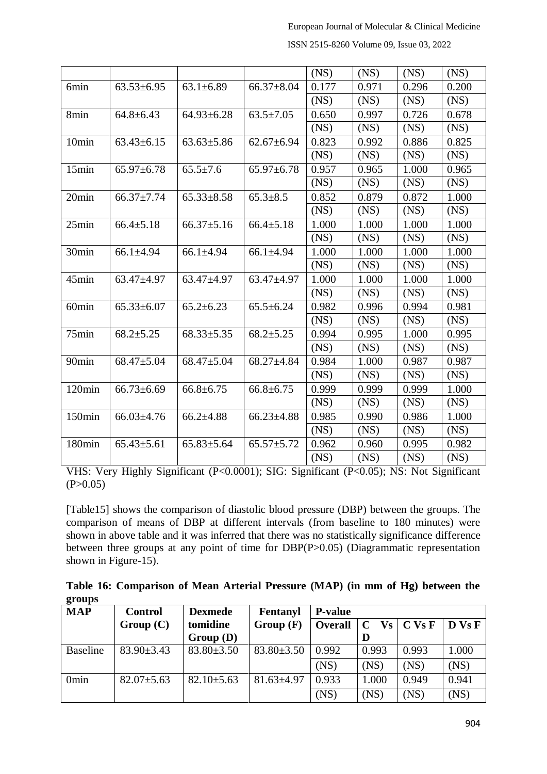|                   |                  |                  |                  | (NS)  | (NS)  | (NS)  | (NS)  |
|-------------------|------------------|------------------|------------------|-------|-------|-------|-------|
| 6min              | $63.53 \pm 6.95$ | $63.1 \pm 6.89$  | $66.37 \pm 8.04$ | 0.177 | 0.971 | 0.296 | 0.200 |
|                   |                  |                  |                  | (NS)  | (NS)  | (NS)  | (NS)  |
| 8min              | $64.8 \pm 6.43$  | $64.93 \pm 6.28$ | $63.5 \pm 7.05$  | 0.650 | 0.997 | 0.726 | 0.678 |
|                   |                  |                  |                  | (NS)  | (NS)  | (NS)  | (NS)  |
| 10min             | $63.43 \pm 6.15$ | $63.63 \pm 5.86$ | $62.67 \pm 6.94$ | 0.823 | 0.992 | 0.886 | 0.825 |
|                   |                  |                  |                  | (NS)  | (NS)  | (NS)  | (NS)  |
| 15min             | $65.97 \pm 6.78$ | $65.5 \pm 7.6$   | $65.97 \pm 6.78$ | 0.957 | 0.965 | 1.000 | 0.965 |
|                   |                  |                  |                  | (NS)  | (NS)  | (NS)  | (NS)  |
| 20min             | $66.37 \pm 7.74$ | $65.33 \pm 8.58$ | $65.3 \pm 8.5$   | 0.852 | 0.879 | 0.872 | 1.000 |
|                   |                  |                  |                  | (NS)  | (NS)  | (NS)  | (NS)  |
| 25min             | $66.4 \pm 5.18$  | $66.37 \pm 5.16$ | $66.4 \pm 5.18$  | 1.000 | 1.000 | 1.000 | 1.000 |
|                   |                  |                  |                  | (NS)  | (NS)  | (NS)  | (NS)  |
| 30min             | $66.1 \pm 4.94$  | $66.1 \pm 4.94$  | $66.1 \pm 4.94$  | 1.000 | 1.000 | 1.000 | 1.000 |
|                   |                  |                  |                  | (NS)  | (NS)  | (NS)  | (NS)  |
| 45min             | 63.47±4.97       | 63.47±4.97       | $63.47 \pm 4.97$ | 1.000 | 1.000 | 1.000 | 1.000 |
|                   |                  |                  |                  | (NS)  | (NS)  | (NS)  | (NS)  |
| 60 <sub>min</sub> | $65.33 \pm 6.07$ | $65.2 \pm 6.23$  | $65.5 \pm 6.24$  | 0.982 | 0.996 | 0.994 | 0.981 |
|                   |                  |                  |                  | (NS)  | (NS)  | (NS)  | (NS)  |
| 75min             | $68.2 \pm 5.25$  | $68.33 \pm 5.35$ | $68.2 \pm 5.25$  | 0.994 | 0.995 | 1.000 | 0.995 |
|                   |                  |                  |                  | (NS)  | (NS)  | (NS)  | (NS)  |
| 90 <sub>min</sub> | $68.47 \pm 5.04$ | $68.47 \pm 5.04$ | $68.27 \pm 4.84$ | 0.984 | 1.000 | 0.987 | 0.987 |
|                   |                  |                  |                  | (NS)  | (NS)  | (NS)  | (NS)  |
| 120min            | $66.73 \pm 6.69$ | $66.8 \pm 6.75$  | $66.8 \pm 6.75$  | 0.999 | 0.999 | 0.999 | 1.000 |
|                   |                  |                  |                  | (NS)  | (NS)  | (NS)  | (NS)  |
| 150min            | $66.03{\pm}4.76$ | $66.2{\pm}4.88$  | $66.23 \pm 4.88$ | 0.985 | 0.990 | 0.986 | 1.000 |
|                   |                  |                  |                  | (NS)  | (NS)  | (NS)  | (NS)  |
| 180min            | $65.43 \pm 5.61$ | $65.83 \pm 5.64$ | $65.57 + 5.72$   | 0.962 | 0.960 | 0.995 | 0.982 |
|                   |                  |                  |                  | (NS)  | (NS)  | (NS)  | (NS)  |

ISSN 2515-8260 Volume 09, Issue 03, 2022

VHS: Very Highly Significant (P<0.0001); SIG: Significant (P<0.05); NS: Not Significant  $(P>0.05)$ 

[Table15] shows the comparison of diastolic blood pressure (DBP) between the groups. The comparison of means of DBP at different intervals (from baseline to 180 minutes) were shown in above table and it was inferred that there was no statistically significance difference between three groups at any point of time for DBP(P>0.05) (Diagrammatic representation shown in Figure-15).

|        | Table 16: Comparison of Mean Arterial Pressure (MAP) (in mm of Hg) between the |  |  |  |  |
|--------|--------------------------------------------------------------------------------|--|--|--|--|
| groups |                                                                                |  |  |  |  |
|        |                                                                                |  |  |  |  |

| <b>MAP</b>       | <b>Control</b>   | <b>Dexmede</b>   | Fentanyl         | <b>P-value</b> |                           |            |                      |
|------------------|------------------|------------------|------------------|----------------|---------------------------|------------|----------------------|
|                  | Group(C)         | tomidine         | Group(F)         | <b>Overall</b> | $\mathbf C$<br>$\bf{V}$ s | $C$ Vs $F$ | $\bf{D}$ Vs $\bf{F}$ |
|                  |                  | Group(D)         |                  |                | D                         |            |                      |
| <b>Baseline</b>  | $83.90 \pm 3.43$ | $83.80 \pm 3.50$ | $83.80 \pm 3.50$ | 0.992          | 0.993                     | 0.993      | 1.000                |
|                  |                  |                  |                  | (NS)           | (NS)                      | (NS)       | (NS)                 |
| 0 <sub>min</sub> | $82.07 \pm 5.63$ | $82.10 \pm 5.63$ | $81.63 \pm 4.97$ | 0.933          | 1.000                     | 0.949      | 0.941                |
|                  |                  |                  |                  | (NS)           | (NS)                      | (NS)       | (NS)                 |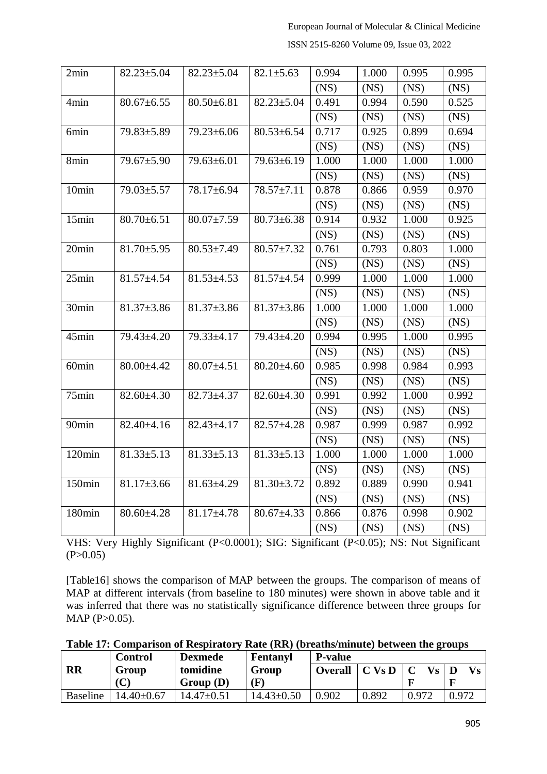| ISSN 2515-8260 Volume 09, Issue 03, 2022 |
|------------------------------------------|
|------------------------------------------|

| 2min              | $82.23 \pm 5.04$ | $82.23 \pm 5.04$ | $82.1 \pm 5.63$  | 0.994 | 1.000 | 0.995 | 0.995 |
|-------------------|------------------|------------------|------------------|-------|-------|-------|-------|
|                   |                  |                  |                  | (NS)  | (NS)  | (NS)  | (NS)  |
| 4min              | $80.67 \pm 6.55$ | $80.50 \pm 6.81$ | $82.23 \pm 5.04$ | 0.491 | 0.994 | 0.590 | 0.525 |
|                   |                  |                  |                  | (NS)  | (NS)  | (NS)  | (NS)  |
| 6min              | 79.83±5.89       | 79.23±6.06       | $80.53 \pm 6.54$ | 0.717 | 0.925 | 0.899 | 0.694 |
|                   |                  |                  |                  | (NS)  | (NS)  | (NS)  | (NS)  |
| 8min              | 79.67±5.90       | 79.63±6.01       | $79.63 \pm 6.19$ | 1.000 | 1.000 | 1.000 | 1.000 |
|                   |                  |                  |                  | (NS)  | (NS)  | (NS)  | (NS)  |
| 10min             | 79.03±5.57       | 78.17±6.94       | 78.57±7.11       | 0.878 | 0.866 | 0.959 | 0.970 |
|                   |                  |                  |                  | (NS)  | (NS)  | (NS)  | (NS)  |
| 15min             | $80.70 \pm 6.51$ | $80.07 \pm 7.59$ | $80.73 \pm 6.38$ | 0.914 | 0.932 | 1.000 | 0.925 |
|                   |                  |                  |                  | (NS)  | (NS)  | (NS)  | (NS)  |
| 20min             | $81.70 \pm 5.95$ | $80.53 \pm 7.49$ | $80.57 \pm 7.32$ | 0.761 | 0.793 | 0.803 | 1.000 |
|                   |                  |                  |                  | (NS)  | (NS)  | (NS)  | (NS)  |
| 25min             | $81.57 \pm 4.54$ | $81.53 \pm 4.53$ | $81.57 + 4.54$   | 0.999 | 1.000 | 1.000 | 1.000 |
|                   |                  |                  |                  | (NS)  | (NS)  | (NS)  | (NS)  |
| $30\text{min}$    | $81.37 \pm 3.86$ | $81.37 \pm 3.86$ | $81.37 \pm 3.86$ | 1.000 | 1.000 | 1.000 | 1.000 |
|                   |                  |                  |                  | (NS)  | (NS)  | (NS)  | (NS)  |
| 45min             | 79.43±4.20       | 79.33±4.17       | 79.43±4.20       | 0.994 | 0.995 | 1.000 | 0.995 |
|                   |                  |                  |                  | (NS)  | (NS)  | (NS)  | (NS)  |
| 60 <sub>min</sub> | 80.00±4.42       | $80.07 \pm 4.51$ | $80.20 \pm 4.60$ | 0.985 | 0.998 | 0.984 | 0.993 |
|                   |                  |                  |                  | (NS)  | (NS)  | (NS)  | (NS)  |
| 75min             | $82.60 \pm 4.30$ | $82.73 \pm 4.37$ | $82.60 \pm 4.30$ | 0.991 | 0.992 | 1.000 | 0.992 |
|                   |                  |                  |                  | (NS)  | (NS)  | (NS)  | (NS)  |
| 90 <sub>min</sub> | $82.40 \pm 4.16$ | $82.43 \pm 4.17$ | $82.57 + 4.28$   | 0.987 | 0.999 | 0.987 | 0.992 |
|                   |                  |                  |                  | (NS)  | (NS)  | (NS)  | (NS)  |
| 120min            | $81.33 \pm 5.13$ | $81.33 \pm 5.13$ | $81.33 \pm 5.13$ | 1.000 | 1.000 | 1.000 | 1.000 |
|                   |                  |                  |                  | (NS)  | (NS)  | (NS)  | (NS)  |
| 150min            | $81.17 \pm 3.66$ | $81.63{\pm}4.29$ | $81.30 \pm 3.72$ | 0.892 | 0.889 | 0.990 | 0.941 |
|                   |                  |                  |                  | (NS)  | (NS)  | (NS)  | (NS)  |
| 180min            | $80.60 \pm 4.28$ | $81.17 \pm 4.78$ | $80.67 \pm 4.33$ | 0.866 | 0.876 | 0.998 | 0.902 |
|                   |                  |                  |                  | (NS)  | (NS)  | (NS)  | (NS)  |

VHS: Very Highly Significant (P<0.0001); SIG: Significant (P<0.05); NS: Not Significant  $(P>0.05)$ 

[Table16] shows the comparison of MAP between the groups. The comparison of means of MAP at different intervals (from baseline to 180 minutes) were shown in above table and it was inferred that there was no statistically significance difference between three groups for MAP (P>0.05).

|  |  |  |  |  |  |  |  |  |  | Table 17: Comparison of Respiratory Rate (RR) (breaths/minute) between the groups |  |  |  |
|--|--|--|--|--|--|--|--|--|--|-----------------------------------------------------------------------------------|--|--|--|
|--|--|--|--|--|--|--|--|--|--|-----------------------------------------------------------------------------------|--|--|--|

 $\overline{a}$ 

|                 | <b>Control</b>   | <b>Dexmede</b>   | Fentanyl         | <b>P-value</b> |          |                          |       |
|-----------------|------------------|------------------|------------------|----------------|----------|--------------------------|-------|
| RR              | Group            | tomidine         | Group            | <b>Overall</b> | $C$ Vs D | $\mathbf{V}\mathbf{s}$ D |       |
|                 | $(\mathbf{C})$   | Group(D)         | $(\mathbf{F})$   |                |          |                          |       |
| <b>Baseline</b> | $14.40 \pm 0.67$ | $14.47 \pm 0.51$ | $14.43 \pm 0.50$ | 0.902          | 0.892    | 0.972                    | 0.972 |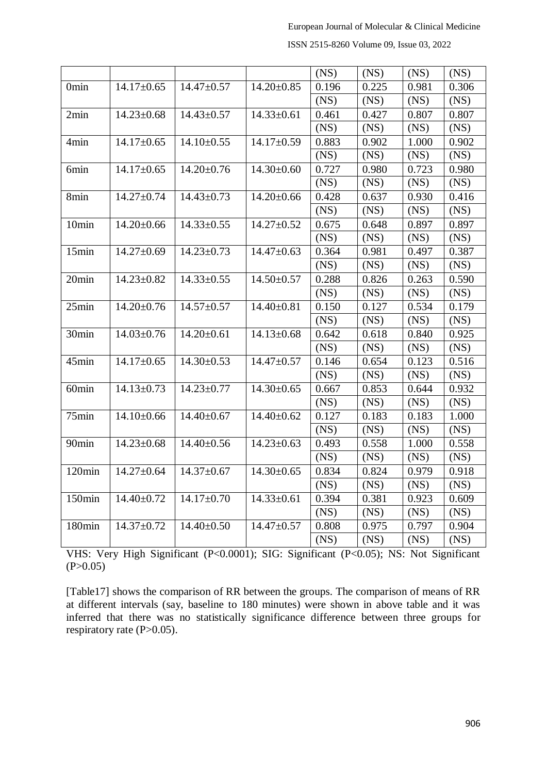| ISSN 2515-8260 Volume 09, Issue 03, 2022 |  |
|------------------------------------------|--|
|------------------------------------------|--|

|                   |                  |                  |                  | (NS)  | (NS)  | (NS)  | (NS)  |
|-------------------|------------------|------------------|------------------|-------|-------|-------|-------|
| 0 <sub>min</sub>  | $14.17 \pm 0.65$ | $14.47 \pm 0.57$ | $14.20 \pm 0.85$ | 0.196 | 0.225 | 0.981 | 0.306 |
|                   |                  |                  |                  | (NS)  | (NS)  | (NS)  | (NS)  |
| 2min              | $14.23 \pm 0.68$ | $14.43 \pm 0.57$ | $14.33 \pm 0.61$ | 0.461 | 0.427 | 0.807 | 0.807 |
|                   |                  |                  |                  | (NS)  | (NS)  | (NS)  | (NS)  |
| 4 <sub>min</sub>  | $14.17 \pm 0.65$ | $14.10\pm0.55$   | $14.17 \pm 0.59$ | 0.883 | 0.902 | 1.000 | 0.902 |
|                   |                  |                  |                  | (NS)  | (NS)  | (NS)  | (NS)  |
| 6min              | $14.17 \pm 0.65$ | $14.20 \pm 0.76$ | $14.30 \pm 0.60$ | 0.727 | 0.980 | 0.723 | 0.980 |
|                   |                  |                  |                  | (NS)  | (NS)  | (NS)  | (NS)  |
| 8min              | $14.27 \pm 0.74$ | $14.43 \pm 0.73$ | $14.20 \pm 0.66$ | 0.428 | 0.637 | 0.930 | 0.416 |
|                   |                  |                  |                  | (NS)  | (NS)  | (NS)  | (NS)  |
| 10min             | $14.20 \pm 0.66$ | $14.33 \pm 0.55$ | $14.27 \pm 0.52$ | 0.675 | 0.648 | 0.897 | 0.897 |
|                   |                  |                  |                  | (NS)  | (NS)  | (NS)  | (NS)  |
| 15min             | $14.27 \pm 0.69$ | $14.23 \pm 0.73$ | $14.47 \pm 0.63$ | 0.364 | 0.981 | 0.497 | 0.387 |
|                   |                  |                  |                  | (NS)  | (NS)  | (NS)  | (NS)  |
| 20min             | $14.23 \pm 0.82$ | $14.33 \pm 0.55$ | $14.50 \pm 0.57$ | 0.288 | 0.826 | 0.263 | 0.590 |
|                   |                  |                  |                  | (NS)  | (NS)  | (NS)  | (NS)  |
| 25min             | $14.20 \pm 0.76$ | $14.57 \pm 0.57$ | $14.40 \pm 0.81$ | 0.150 | 0.127 | 0.534 | 0.179 |
|                   |                  |                  |                  | (NS)  | (NS)  | (NS)  | (NS)  |
| 30min             | $14.03 \pm 0.76$ | $14.20 \pm 0.61$ | $14.13 \pm 0.68$ | 0.642 | 0.618 | 0.840 | 0.925 |
|                   |                  |                  |                  | (NS)  | (NS)  | (NS)  | (NS)  |
| 45min             | $14.17 \pm 0.65$ | $14.30 \pm 0.53$ | $14.47 \pm 0.57$ | 0.146 | 0.654 | 0.123 | 0.516 |
|                   |                  |                  |                  | (NS)  | (NS)  | (NS)  | (NS)  |
| 60 <sub>min</sub> | $14.13 \pm 0.73$ | $14.23 \pm 0.77$ | $14.30 \pm 0.65$ | 0.667 | 0.853 | 0.644 | 0.932 |
|                   |                  |                  |                  | (NS)  | (NS)  | (NS)  | (NS)  |
| 75min             | $14.10 \pm 0.66$ | $14.40 \pm 0.67$ | $14.40 \pm 0.62$ | 0.127 | 0.183 | 0.183 | 1.000 |
|                   |                  |                  |                  | (NS)  | (NS)  | (NS)  | (NS)  |
| 90 <sub>min</sub> | $14.23 \pm 0.68$ | $14.40 \pm 0.56$ | $14.23 \pm 0.63$ | 0.493 | 0.558 | 1.000 | 0.558 |
|                   |                  |                  |                  | (NS)  | (NS)  | (NS)  | (NS)  |
| 120min            | $14.27 \pm 0.64$ | $14.37 \pm 0.67$ | $14.30 \pm 0.65$ | 0.834 | 0.824 | 0.979 | 0.918 |
|                   |                  |                  |                  | (NS)  | (NS)  | (NS)  | (NS)  |
| 150min            | $14.40 \pm 0.72$ | $14.17 \pm 0.70$ | $14.33 \pm 0.61$ | 0.394 | 0.381 | 0.923 | 0.609 |
|                   |                  |                  |                  | (NS)  | (NS)  | (NS)  | (NS)  |
| 180min            | $14.37 \pm 0.72$ | $14.40 \pm 0.50$ | $14.47 \pm 0.57$ | 0.808 | 0.975 | 0.797 | 0.904 |
|                   |                  |                  |                  | (NS)  | (NS)  | (NS)  | (NS)  |

VHS: Very High Significant (P<0.0001); SIG: Significant (P<0.05); NS: Not Significant  $(P>0.05)$ 

[Table17] shows the comparison of RR between the groups. The comparison of means of RR at different intervals (say, baseline to 180 minutes) were shown in above table and it was inferred that there was no statistically significance difference between three groups for respiratory rate (P>0.05).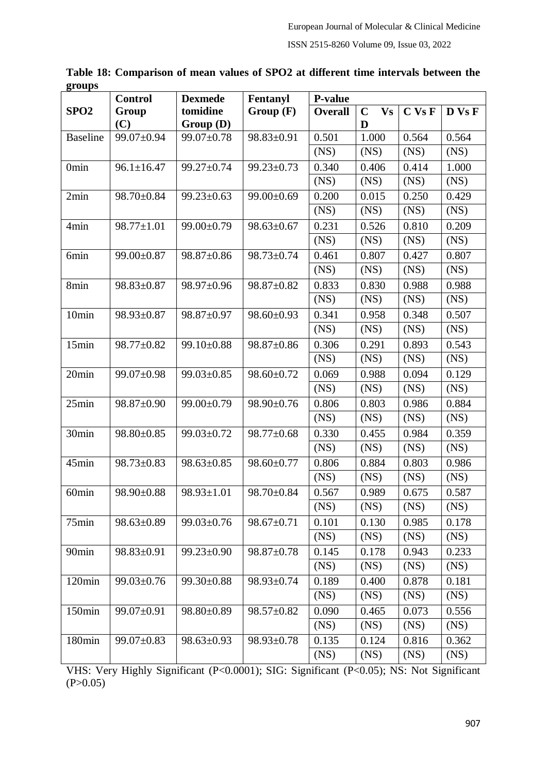|                   | <b>Control</b>   | <b>Dexmede</b>   | Fentanyl         | P-value        |                          |        |        |
|-------------------|------------------|------------------|------------------|----------------|--------------------------|--------|--------|
| SPO <sub>2</sub>  | Group            | tomidine         | Group(F)         | <b>Overall</b> | <b>Vs</b><br>$\mathbf C$ | C Vs F | D Vs F |
|                   | (C)              | Group (D)        |                  |                | D                        |        |        |
| <b>Baseline</b>   | 99.07±0.94       | 99.07±0.78       | 98.83±0.91       | 0.501          | 1.000                    | 0.564  | 0.564  |
|                   |                  |                  |                  | (NS)           | (NS)                     | (NS)   | (NS)   |
| 0 <sub>min</sub>  | $96.1 \pm 16.47$ | 99.27±0.74       | $99.23 \pm 0.73$ | 0.340          | 0.406                    | 0.414  | 1.000  |
|                   |                  |                  |                  | (NS)           | (NS)                     | (NS)   | (NS)   |
| 2min              | 98.70±0.84       | $99.23 \pm 0.63$ | 99.00±0.69       | 0.200          | 0.015                    | 0.250  | 0.429  |
|                   |                  |                  |                  | (NS)           | (NS)                     | (NS)   | (NS)   |
| 4min              | $98.77 \pm 1.01$ | 99.00±0.79       | $98.63 \pm 0.67$ | 0.231          | 0.526                    | 0.810  | 0.209  |
|                   |                  |                  |                  | (NS)           | (NS)                     | (NS)   | (NS)   |
| 6min              | 99.00±0.87       | 98.87±0.86       | 98.73±0.74       | 0.461          | 0.807                    | 0.427  | 0.807  |
|                   |                  |                  |                  | (NS)           | (NS)                     | (NS)   | (NS)   |
| 8min              | 98.83±0.87       | 98.97±0.96       | 98.87±0.82       | 0.833          | 0.830                    | 0.988  | 0.988  |
|                   |                  |                  |                  | (NS)           | (NS)                     | (NS)   | (NS)   |
| 10min             | 98.93±0.87       | 98.87±0.97       | $98.60 \pm 0.93$ | 0.341          | 0.958                    | 0.348  | 0.507  |
|                   |                  |                  |                  | (NS)           | (NS)                     | (NS)   | (NS)   |
| 15min             | 98.77±0.82       | 99.10±0.88       | $98.87 \pm 0.86$ | 0.306          | 0.291                    | 0.893  | 0.543  |
|                   |                  |                  |                  | (NS)           | (NS)                     | (NS)   | (NS)   |
| 20min             | 99.07±0.98       | $99.03 \pm 0.85$ | 98.60±0.72       | 0.069          | 0.988                    | 0.094  | 0.129  |
|                   |                  |                  |                  | (NS)           | (NS)                     | (NS)   | (NS)   |
| 25min             | 98.87±0.90       | 99.00±0.79       | 98.90±0.76       | 0.806          | 0.803                    | 0.986  | 0.884  |
|                   |                  |                  |                  | (NS)           | (NS)                     | (NS)   | (NS)   |
| 30min             | $98.80 \pm 0.85$ | 99.03±0.72       | 98.77±0.68       | 0.330          | 0.455                    | 0.984  | 0.359  |
|                   |                  |                  |                  | (NS)           | (NS)                     | (NS)   | (NS)   |
| 45min             | $98.73 \pm 0.83$ | $98.63 \pm 0.85$ | 98.60±0.77       | 0.806          | 0.884                    | 0.803  | 0.986  |
|                   |                  |                  |                  | (NS)           | (NS)                     | (NS)   | (NS)   |
| 60 <sub>min</sub> | $98.90 \pm 0.88$ | 98.93±1.01       | 98.70±0.84       | 0.567          | 0.989                    | 0.675  | 0.587  |
|                   |                  |                  |                  | (NS)           | (NS)                     | (NS)   | (NS)   |
| 75min             | $98.63 \pm 0.89$ | 99.03±0.76       | 98.67±0.71       | 0.101          | 0.130                    | 0.985  | 0.178  |
|                   |                  |                  |                  | (NS)           | (NS)                     | (NS)   | (NS)   |
| 90 <sub>min</sub> | 98.83±0.91       | 99.23±0.90       | $98.87 \pm 0.78$ | 0.145          | 0.178                    | 0.943  | 0.233  |
|                   |                  |                  |                  | (NS)           | (NS)                     | (NS)   | (NS)   |
| 120min            | $99.03 \pm 0.76$ | $99.30 \pm 0.88$ | 98.93±0.74       | 0.189          | 0.400                    | 0.878  | 0.181  |
|                   |                  |                  |                  | (NS)           | (NS)                     | (NS)   | (NS)   |
| 150min            | 99.07±0.91       | $98.80 \pm 0.89$ | 98.57±0.82       | 0.090          | 0.465                    | 0.073  | 0.556  |
|                   |                  |                  |                  | (NS)           | (NS)                     | (NS)   | (NS)   |
| 180min            | 99.07±0.83       | $98.63 \pm 0.93$ | $98.93 \pm 0.78$ | 0.135          | 0.124                    | 0.816  | 0.362  |
|                   |                  |                  |                  | (NS)           | (NS)                     | (NS)   | (NS)   |

**Table 18: Comparison of mean values of SPO2 at different time intervals between the groups**

VHS: Very Highly Significant (P<0.0001); SIG: Significant (P<0.05); NS: Not Significant  $(P>0.05)$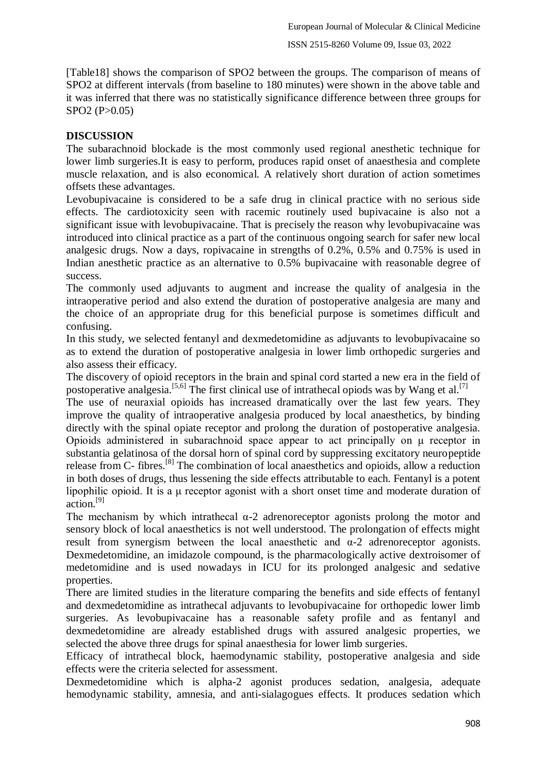[Table18] shows the comparison of SPO2 between the groups. The comparison of means of SPO2 at different intervals (from baseline to 180 minutes) were shown in the above table and it was inferred that there was no statistically significance difference between three groups for SPO2 (P>0.05)

## **DISCUSSION**

The subarachnoid blockade is the most commonly used regional anesthetic technique for lower limb surgeries.It is easy to perform, produces rapid onset of anaesthesia and complete muscle relaxation, and is also economical. A relatively short duration of action sometimes offsets these advantages.

Levobupivacaine is considered to be a safe drug in clinical practice with no serious side effects. The cardiotoxicity seen with racemic routinely used bupivacaine is also not a significant issue with levobupivacaine. That is precisely the reason why levobupivacaine was introduced into clinical practice as a part of the continuous ongoing search for safer new local analgesic drugs. Now a days, ropivacaine in strengths of 0.2%, 0.5% and 0.75% is used in Indian anesthetic practice as an alternative to 0.5% bupivacaine with reasonable degree of success.

The commonly used adjuvants to augment and increase the quality of analgesia in the intraoperative period and also extend the duration of postoperative analgesia are many and the choice of an appropriate drug for this beneficial purpose is sometimes difficult and confusing.

In this study, we selected fentanyl and dexmedetomidine as adjuvants to levobupivacaine so as to extend the duration of postoperative analgesia in lower limb orthopedic surgeries and also assess their efficacy.

The discovery of opioid receptors in the brain and spinal cord started a new era in the field of postoperative analgesia.<sup>[5,6]</sup> The first clinical use of intrathecal opiods was by Wang et al.<sup>[7]</sup>

The use of neuraxial opioids has increased dramatically over the last few years. They improve the quality of intraoperative analgesia produced by local anaesthetics, by binding directly with the spinal opiate receptor and prolong the duration of postoperative analgesia. Opioids administered in subarachnoid space appear to act principally on μ receptor in substantia gelatinosa of the dorsal horn of spinal cord by suppressing excitatory neuropeptide release from C- fibres.[8] The combination of local anaesthetics and opioids, allow a reduction in both doses of drugs, thus lessening the side effects attributable to each. Fentanyl is a potent lipophilic opioid. It is a μ receptor agonist with a short onset time and moderate duration of action.[9]

The mechanism by which intrathecal  $\alpha$ -2 adrenoreceptor agonists prolong the motor and sensory block of local anaesthetics is not well understood. The prolongation of effects might result from synergism between the local anaesthetic and  $\alpha$ -2 adrenoreceptor agonists. Dexmedetomidine, an imidazole compound, is the pharmacologically active dextroisomer of medetomidine and is used nowadays in ICU for its prolonged analgesic and sedative properties.

There are limited studies in the literature comparing the benefits and side effects of fentanyl and dexmedetomidine as intrathecal adjuvants to levobupivacaine for orthopedic lower limb surgeries. As levobupivacaine has a reasonable safety profile and as fentanyl and dexmedetomidine are already established drugs with assured analgesic properties, we selected the above three drugs for spinal anaesthesia for lower limb surgeries.

Efficacy of intrathecal block, haemodynamic stability, postoperative analgesia and side effects were the criteria selected for assessment.

Dexmedetomidine which is alpha-2 agonist produces sedation, analgesia, adequate hemodynamic stability, amnesia, and anti-sialagogues effects. It produces sedation which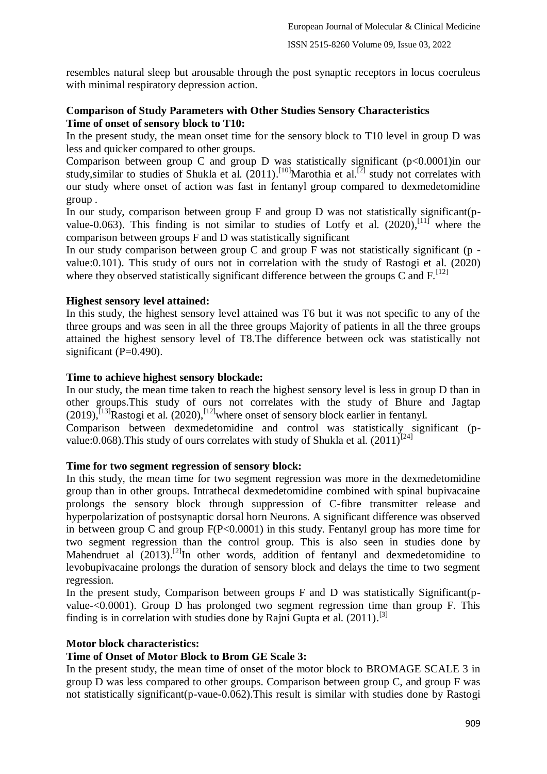resembles natural sleep but arousable through the post synaptic receptors in locus coeruleus with minimal respiratory depression action.

### **Comparison of Study Parameters with Other Studies Sensory Characteristics Time of onset of sensory block to T10:**

In the present study, the mean onset time for the sensory block to T10 level in group D was less and quicker compared to other groups.

Comparison between group C and group D was statistically significant  $(p<0.0001)$  in our study, similar to studies of Shukla et al.  $(2011)$ .<sup>[10]</sup>Marothia et al.<sup>[2]</sup> study not correlates with our study where onset of action was fast in fentanyl group compared to dexmedetomidine group .

In our study, comparison between group F and group D was not statistically significant(pvalue-0.063). This finding is not similar to studies of Lotfy et al.  $(2020)$ ,  $[11]$  where the comparison between groups F and D was statistically significant

In our study comparison between group  $C$  and group  $F$  was not statistically significant (p value:0.101). This study of ours not in correlation with the study of Rastogi et al. (2020) where they observed statistically significant difference between the groups C and  $F<sup>[12]</sup>$ 

### **Highest sensory level attained:**

In this study, the highest sensory level attained was T6 but it was not specific to any of the three groups and was seen in all the three groups Majority of patients in all the three groups attained the highest sensory level of T8.The difference between ock was statistically not significant  $(P=0.490)$ .

### **Time to achieve highest sensory blockade:**

In our study, the mean time taken to reach the highest sensory level is less in group D than in other groups.This study of ours not correlates with the study of Bhure and Jagtap  $(2019)$ ,  $^{[13]}$ Rastogi et al.  $(2020)$ ,  $^{[12]}$ where onset of sensory block earlier in fentanyl.

Comparison between dexmedetomidine and control was statistically significant (pvalue:0.068). This study of ours correlates with study of Shukla et al.  $(2011)^{[24]}$ 

#### **Time for two segment regression of sensory block:**

In this study, the mean time for two segment regression was more in the dexmedetomidine group than in other groups. Intrathecal dexmedetomidine combined with spinal bupivacaine prolongs the sensory block through suppression of C-fibre transmitter release and hyperpolarization of postsynaptic dorsal horn Neurons. A significant difference was observed in between group C and group  $F(P<0.0001)$  in this study. Fentanyl group has more time for two segment regression than the control group. This is also seen in studies done by Mahendruet al (2013).<sup>[2]</sup>In other words, addition of fentanyl and dexmedetomidine to levobupivacaine prolongs the duration of sensory block and delays the time to two segment regression.

In the present study, Comparison between groups F and D was statistically Significant(pvalue-<0.0001). Group D has prolonged two segment regression time than group F. This finding is in correlation with studies done by Rajni Gupta et al. (2011).<sup>[3]</sup>

#### **Motor block characteristics:**

### **Time of Onset of Motor Block to Brom GE Scale 3:**

In the present study, the mean time of onset of the motor block to BROMAGE SCALE 3 in group D was less compared to other groups. Comparison between group C, and group F was not statistically significant(p-vaue-0.062).This result is similar with studies done by Rastogi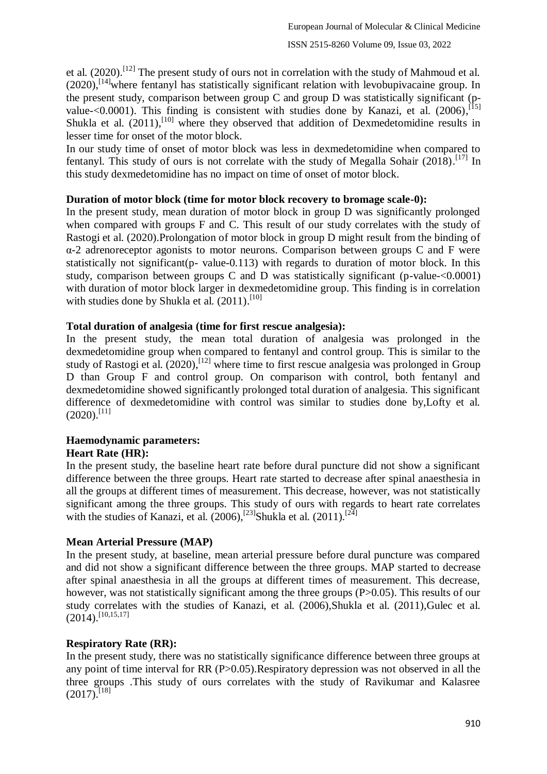et al.  $(2020)$ .<sup>[12]</sup> The present study of ours not in correlation with the study of Mahmoud et al. (2020),<sup>[14]</sup>where fentanyl has statistically significant relation with levobupivacaine group. In the present study, comparison between group C and group D was statistically significant (pvalue- $\leq$ 0.0001). This finding is consistent with studies done by Kanazi, et al. (2006),<sup>[15]</sup> Shukla et al. (2011),<sup>[10]</sup> where they observed that addition of Dexmedetomidine results in lesser time for onset of the motor block.

In our study time of onset of motor block was less in dexmedetomidine when compared to fentanyl. This study of ours is not correlate with the study of Megalla Sohair  $(2018)$ .<sup>[17]</sup> In this study dexmedetomidine has no impact on time of onset of motor block.

### **Duration of motor block (time for motor block recovery to bromage scale-0):**

In the present study, mean duration of motor block in group D was significantly prolonged when compared with groups F and C. This result of our study correlates with the study of Rastogi et al. (2020).Prolongation of motor block in group D might result from the binding of α-2 adrenoreceptor agonists to motor neurons. Comparison between groups C and F were statistically not significant(p- value-0.113) with regards to duration of motor block. In this study, comparison between groups C and D was statistically significant (p-value-<0.0001) with duration of motor block larger in dexmedetomidine group. This finding is in correlation with studies done by Shukla et al. (2011).<sup>[10]</sup>

### **Total duration of analgesia (time for first rescue analgesia):**

In the present study, the mean total duration of analgesia was prolonged in the dexmedetomidine group when compared to fentanyl and control group. This is similar to the study of Rastogi et al. (2020),<sup>[12]</sup> where time to first rescue analgesia was prolonged in Group D than Group F and control group. On comparison with control, both fentanyl and dexmedetomidine showed significantly prolonged total duration of analgesia. This significant difference of dexmedetomidine with control was similar to studies done by,Lofty et al.  $(2020).$ <sup>[11]</sup>

#### **Haemodynamic parameters: Heart Rate (HR):**

In the present study, the baseline heart rate before dural puncture did not show a significant difference between the three groups. Heart rate started to decrease after spinal anaesthesia in all the groups at different times of measurement. This decrease, however, was not statistically significant among the three groups. This study of ours with regards to heart rate correlates with the studies of Kanazi, et al.  $(2006)$ , <sup>[23]</sup>Shukla et al.  $(2011)$ .<sup>[24]</sup>

### **Mean Arterial Pressure (MAP)**

In the present study, at baseline, mean arterial pressure before dural puncture was compared and did not show a significant difference between the three groups. MAP started to decrease after spinal anaesthesia in all the groups at different times of measurement. This decrease, however, was not statistically significant among the three groups (P $> 0.05$ ). This results of our study correlates with the studies of Kanazi, et al. (2006),Shukla et al. (2011),Gulec et al.  $(2014)$ .<sup>[10,15,17]</sup>

### **Respiratory Rate (RR):**

In the present study, there was no statistically significance difference between three groups at any point of time interval for RR (P>0.05).Respiratory depression was not observed in all the three groups .This study of ours correlates with the study of Ravikumar and Kalasree  $(2017)$ <sup>[18]</sup>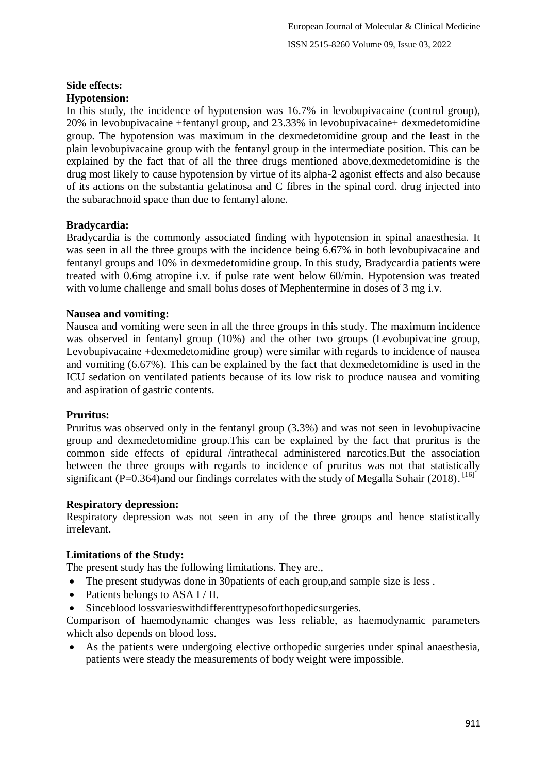# **Side effects:**

## **Hypotension:**

In this study, the incidence of hypotension was 16.7% in levobupivacaine (control group), 20% in levobupivacaine +fentanyl group, and 23.33% in levobupivacaine+ dexmedetomidine group. The hypotension was maximum in the dexmedetomidine group and the least in the plain levobupivacaine group with the fentanyl group in the intermediate position. This can be explained by the fact that of all the three drugs mentioned above,dexmedetomidine is the drug most likely to cause hypotension by virtue of its alpha-2 agonist effects and also because of its actions on the substantia gelatinosa and C fibres in the spinal cord. drug injected into the subarachnoid space than due to fentanyl alone.

## **Bradycardia:**

Bradycardia is the commonly associated finding with hypotension in spinal anaesthesia. It was seen in all the three groups with the incidence being 6.67% in both levobupivacaine and fentanyl groups and 10% in dexmedetomidine group. In this study, Bradycardia patients were treated with 0.6mg atropine i.v. if pulse rate went below 60/min. Hypotension was treated with volume challenge and small bolus doses of Mephentermine in doses of 3 mg i.v.

## **Nausea and vomiting:**

Nausea and vomiting were seen in all the three groups in this study. The maximum incidence was observed in fentanyl group (10%) and the other two groups (Levobupivacine group, Levobupivacaine +dexmedetomidine group) were similar with regards to incidence of nausea and vomiting (6.67%). This can be explained by the fact that dexmedetomidine is used in the ICU sedation on ventilated patients because of its low risk to produce nausea and vomiting and aspiration of gastric contents.

## **Pruritus:**

Pruritus was observed only in the fentanyl group (3.3%) and was not seen in levobupivacine group and dexmedetomidine group.This can be explained by the fact that pruritus is the common side effects of epidural /intrathecal administered narcotics.But the association between the three groups with regards to incidence of pruritus was not that statistically significant (P=0.364)and our findings correlates with the study of Megalla Sohair (2018).<sup>[16]</sup>

### **Respiratory depression:**

Respiratory depression was not seen in any of the three groups and hence statistically irrelevant.

## **Limitations of the Study:**

The present study has the following limitations. They are.,

- The present studywas done in 30 patients of each group, and sample size is less.
- Patients belongs to ASA I / II.
- Sinceblood lossvarieswithdifferenttypesoforthopedicsurgeries.

Comparison of haemodynamic changes was less reliable, as haemodynamic parameters which also depends on blood loss.

 As the patients were undergoing elective orthopedic surgeries under spinal anaesthesia, patients were steady the measurements of body weight were impossible.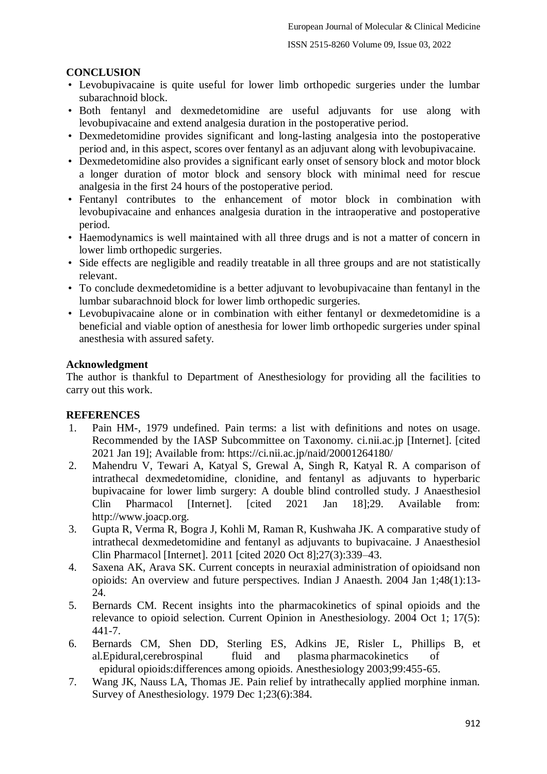#### ISSN 2515-8260 Volume 09, Issue 03, 2022

### **CONCLUSION**

- Levobupivacaine is quite useful for lower limb orthopedic surgeries under the lumbar subarachnoid block.
- Both fentanyl and dexmedetomidine are useful adjuvants for use along with levobupivacaine and extend analgesia duration in the postoperative period.
- Dexmedetomidine provides significant and long-lasting analgesia into the postoperative period and, in this aspect, scores over fentanyl as an adjuvant along with levobupivacaine.
- Dexmedetomidine also provides a significant early onset of sensory block and motor block a longer duration of motor block and sensory block with minimal need for rescue analgesia in the first 24 hours of the postoperative period.
- Fentanyl contributes to the enhancement of motor block in combination with levobupivacaine and enhances analgesia duration in the intraoperative and postoperative period.
- Haemodynamics is well maintained with all three drugs and is not a matter of concern in lower limb orthopedic surgeries.
- Side effects are negligible and readily treatable in all three groups and are not statistically relevant.
- To conclude dexmedetomidine is a better adjuvant to levobupivacaine than fentanyl in the lumbar subarachnoid block for lower limb orthopedic surgeries.
- Levobupivacaine alone or in combination with either fentanyl or dexmedetomidine is a beneficial and viable option of anesthesia for lower limb orthopedic surgeries under spinal anesthesia with assured safety.

#### **Acknowledgment**

The author is thankful to Department of Anesthesiology for providing all the facilities to carry out this work.

#### **REFERENCES**

- 1. Pain HM-, 1979 undefined. Pain terms: a list with definitions and notes on usage. Recommended by the IASP Subcommittee on Taxonomy. ci.nii.ac.jp [Internet]. [cited 2021 Jan 19]; Available from: https://ci.nii.ac.jp/naid/20001264180/
- 2. Mahendru V, Tewari A, Katyal S, Grewal A, Singh R, Katyal R. A comparison of intrathecal dexmedetomidine, clonidine, and fentanyl as adjuvants to hyperbaric bupivacaine for lower limb surgery: A double blind controlled study. J Anaesthesiol Clin Pharmacol [Internet]. [cited 2021 Jan 18];29. Available from: http://www.joacp.org.
- 3. Gupta R, Verma R, Bogra J, Kohli M, Raman R, Kushwaha JK. A comparative study of intrathecal dexmedetomidine and fentanyl as adjuvants to bupivacaine. J Anaesthesiol Clin Pharmacol [Internet]. 2011 [cited 2020 Oct 8];27(3):339–43.
- 4. Saxena AK, Arava SK. Current concepts in neuraxial administration of opioidsand non opioids: An overview and future perspectives. Indian J Anaesth. 2004 Jan 1;48(1):13- 24.
- 5. Bernards CM. Recent insights into the pharmacokinetics of spinal opioids and the relevance to opioid selection. Current Opinion in Anesthesiology. 2004 Oct 1; 17(5): 441-7.
- 6. Bernards CM, Shen DD, Sterling ES, Adkins JE, Risler L, Phillips B, et al.Epidural,cerebrospinal fluid and plasma pharmacokinetics of epidural opioids:differences among opioids. Anesthesiology 2003;99:455-65.
- 7. Wang JK, Nauss LA, Thomas JE. Pain relief by intrathecally applied morphine inman. Survey of Anesthesiology. 1979 Dec 1;23(6):384.